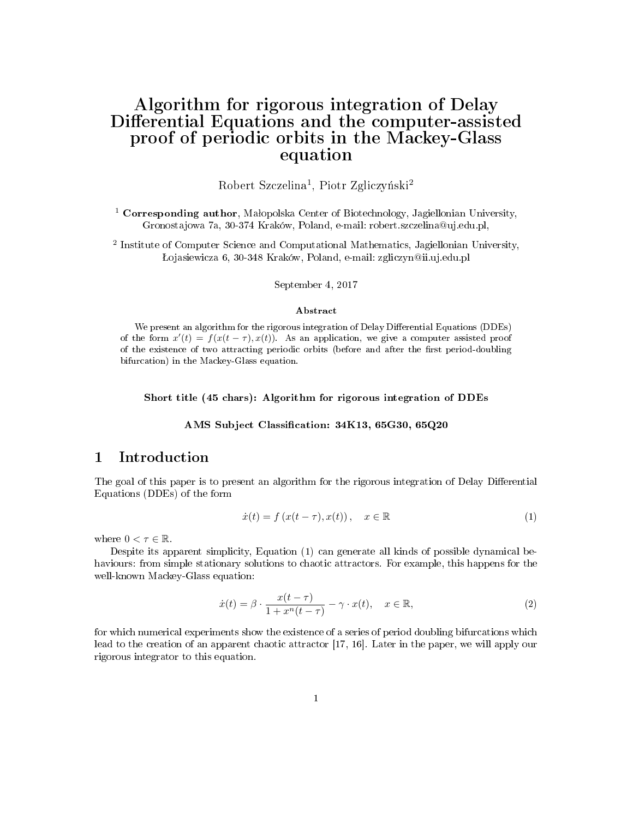# Algorithm for rigorous integration of Delay Differential Equations and the computer-assisted proof of periodic orbits in the Mackey-Glass equation

 ${\rm Robert\ Szczelina^1,\ Piotr\ Zgliczyński^2}$ 

 $^1$  Corresponding author, Małopolska Center of Biotechnology, Jagiellonian University, Gronostajowa 7a, 30-374 Kraków, Poland, e-mail: robert.szczelina@uj.edu.pl,

<sup>2</sup> Institute of Computer Science and Computational Mathematics, Jagiellonian University, ojasiewicza 6, 30-348 Kraków, Poland, e-mail: zgliczyn@ii.uj.edu.pl

September 4, 2017

#### Abstract

We present an algorithm for the rigorous integration of Delay Differential Equations (DDEs) of the form  $x'(t) = f(x(t - \tau), x(t))$ . As an application, we give a computer assisted proof of the existence of two attracting periodic orbits (before and after the first period-doubling bifurcation) in the Mackey-Glass equation.

Short title (45 chars): Algorithm for rigorous integration of DDEs

AMS Subject Classification: 34K13, 65G30, 65Q20

# 1 Introduction

The goal of this paper is to present an algorithm for the rigorous integration of Delay Differential Equations (DDEs) of the form

$$
\dot{x}(t) = f(x(t - \tau), x(t)), \quad x \in \mathbb{R} \tag{1}
$$

where  $0 < \tau \in \mathbb{R}$ .

Despite its apparent simplicity, Equation (1) can generate all kinds of possible dynamical behaviours: from simple stationary solutions to chaotic attractors. For example, this happens for the well-known Mackey-Glass equation:

$$
\dot{x}(t) = \beta \cdot \frac{x(t-\tau)}{1+x^n(t-\tau)} - \gamma \cdot x(t), \quad x \in \mathbb{R},\tag{2}
$$

for which numerical experiments show the existence of a series of period doubling bifurcations which lead to the creation of an apparent chaotic attractor [17, 16]. Later in the paper, we will apply our rigorous integrator to this equation.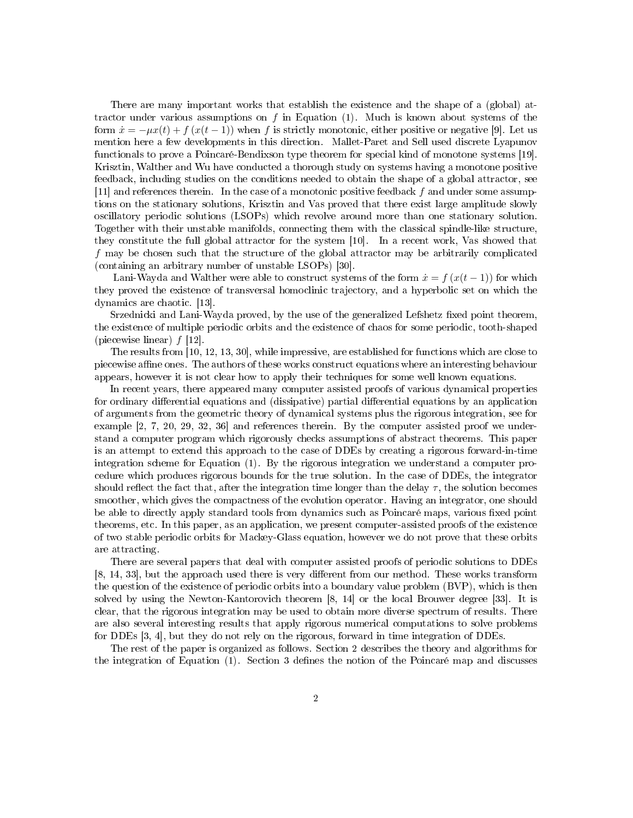There are many important works that establish the existence and the shape of a (global) attractor under various assumptions on  $f$  in Equation (1). Much is known about systems of the form  $\dot{x} = -\mu x(t) + f(x(t-1))$  when f is strictly monotonic, either positive or negative [9]. Let us mention here a few developments in this direction. Mallet-Paret and Sell used discrete Lyapunov functionals to prove a Poincaré-Bendixson type theorem for special kind of monotone systems [19]. Krisztin, Walther and Wu have conducted a thorough study on systems having a monotone positive feedback, including studies on the conditions needed to obtain the shape of a global attractor, see [11] and references therein. In the case of a monotonic positive feedback  $f$  and under some assumptions on the stationary solutions, Krisztin and Vas proved that there exist large amplitude slowly oscillatory periodic solutions (LSOPs) which revolve around more than one stationary solution. Together with their unstable manifolds, connecting them with the classical spindle-like structure, they constitute the full global attractor for the system [10]. In a recent work, Vas showed that f may be chosen such that the structure of the global attractor may be arbitrarily complicated (containing an arbitrary number of unstable LSOPs) [30].

Lani-Wayda and Walther were able to construct systems of the form  $\dot{x} = f(x(t-1))$  for which they proved the existence of transversal homoclinic trajectory, and a hyperbolic set on which the dynamics are chaotic. [13].

Srzednicki and Lani-Wayda proved, by the use of the generalized Lefshetz fixed point theorem, the existence of multiple periodic orbits and the existence of chaos for some periodic, tooth-shaped (piecewise linear)  $f$  [12].

The results from [10, 12, 13, 30], while impressive, are established for functions which are close to piecewise affine ones. The authors of these works construct equations where an interesting behaviour appears, however it is not clear how to apply their techniques for some well known equations.

In recent years, there appeared many computer assisted proofs of various dynamical properties for ordinary differential equations and (dissipative) partial differential equations by an application of arguments from the geometric theory of dynamical systems plus the rigorous integration, see for example [2, 7, 20, 29, 32, 36] and references therein. By the computer assisted proof we understand a computer program which rigorously checks assumptions of abstract theorems. This paper is an attempt to extend this approach to the case of DDEs by creating a rigorous forward-in-time integration scheme for Equation (1). By the rigorous integration we understand a computer procedure which produces rigorous bounds for the true solution. In the case of DDEs, the integrator should reflect the fact that, after the integration time longer than the delay  $\tau$ , the solution becomes smoother, which gives the compactness of the evolution operator. Having an integrator, one should be able to directly apply standard tools from dynamics such as Poincaré maps, various fixed point theorems, etc. In this paper, as an application, we present computer-assisted proofs of the existence of two stable periodic orbits for Mackey-Glass equation, however we do not prove that these orbits are attracting.

There are several papers that deal with computer assisted proofs of periodic solutions to DDEs  $[8, 14, 33]$ , but the approach used there is very different from our method. These works transform the question of the existence of periodic orbits into a boundary value problem (BVP), which is then solved by using the Newton-Kantorovich theorem [8, 14] or the local Brouwer degree [33]. It is clear, that the rigorous integration may be used to obtain more diverse spectrum of results. There are also several interesting results that apply rigorous numerical computations to solve problems for DDEs [3, 4], but they do not rely on the rigorous, forward in time integration of DDEs.

The rest of the paper is organized as follows. Section 2 describes the theory and algorithms for the integration of Equation (1). Section 3 defines the notion of the Poincaré map and discusses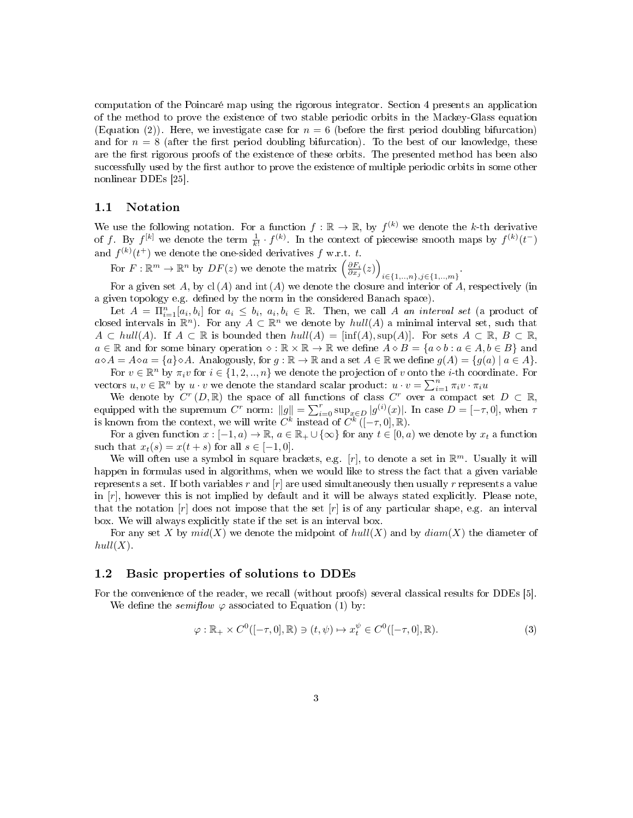computation of the Poincaré map using the rigorous integrator. Section 4 presents an application of the method to prove the existence of two stable periodic orbits in the Mackey-Glass equation (Equation (2)). Here, we investigate case for  $n = 6$  (before the first period doubling bifurcation) and for  $n = 8$  (after the first period doubling bifurcation). To the best of our knowledge, these are the first rigorous proofs of the existence of these orbits. The presented method has been also successfully used by the first author to prove the existence of multiple periodic orbits in some other nonlinear DDEs [25].

### 1.1 Notation

We use the following notation. For a function  $f : \mathbb{R} \to \mathbb{R}$ , by  $f^{(k)}$  we denote the k-th derivative of f. By  $f^{[k]}$  we denote the term  $\frac{1}{k!} \cdot f^{(k)}$ . In the context of piecewise smooth maps by  $f^{(k)}(t^-)$ and  $f^{(k)}(t^+)$  we denote the one-sided derivatives f w.r.t. t.

For  $F: \mathbb{R}^m \to \mathbb{R}^n$  by  $DF(z)$  we denote the matrix  $\left(\frac{\partial F_i}{\partial x_j}(z)\right)$  $i \in \{1, ..., n\}, j \in \{1, ..., m\}$ 

For a given set A, by cl(A) and int (A) we denote the closure and interior of A, respectively (in a given topology e.g. defined by the norm in the considered Banach space).

Let  $A = \prod_{i=1}^n [a_i, b_i]$  for  $a_i \leq b_i, a_i, b_i \in \mathbb{R}$ . Then, we call A an interval set (a product of closed intervals in  $\mathbb{R}^n$ ). For any  $A \subset \mathbb{R}^n$  we denote by  $hull(A)$  a minimal interval set, such that  $A \subset hull(A)$ . If  $A \subset \mathbb{R}$  is bounded then  $hull(A) = [inf(A), sup(A)]$ . For sets  $A \subset \mathbb{R}$ ,  $B \subset \mathbb{R}$ ,  $a \in \mathbb{R}$  and for some binary operation  $\diamond : \mathbb{R} \times \mathbb{R} \to \mathbb{R}$  we define  $A \diamond B = \{a \diamond b : a \in A, b \in B\}$  and  $a \diamond A = A \diamond a = \{a\} \diamond A$ . Analogously, for  $g : \mathbb{R} \to \mathbb{R}$  and a set  $A \in \mathbb{R}$  we define  $g(A) = \{g(a) \mid a \in A\}$ .

For  $v \in \mathbb{R}^n$  by  $\pi_i v$  for  $i \in \{1, 2, ..., n\}$  we denote the projection of v onto the *i*-th coordinate. For vectors  $u, v \in \mathbb{R}^n$  by  $u \cdot v$  we denote the standard scalar product:  $u \cdot v = \sum_{i=1}^n \pi_i v \cdot \pi_i u$ 

We denote by  $C^r(D,\mathbb{R})$  the space of all functions of class  $C^r$  over a compact set  $D \subset \mathbb{R}$ , equipped with the supremum  $C^r$  norm:  $||g|| = \sum_{i=0}^r \sup_{x \in D} |g^{(i)}(x)|$ . In case  $D = [-\tau, 0]$ , when  $\tau$ is known from the context, we will write  $\overline{C}^k$  instead of  $\overline{C}^k([- \tau, 0], \mathbb{R})$ .

For a given function  $x : [-1, a) \to \mathbb{R}$ ,  $a \in \mathbb{R}_+ \cup \{\infty\}$  for any  $t \in [0, a)$  we denote by  $x_t$  a function such that  $x_t(s) = x(t+s)$  for all  $s \in [-1,0]$ .

We will often use a symbol in square brackets, e.g. [r], to denote a set in  $\mathbb{R}^m$ . Usually it will happen in formulas used in algorithms, when we would like to stress the fact that a given variable represents a set. If both variables r and  $[r]$  are used simultaneously then usually r represents a value in  $[r]$ , however this is not implied by default and it will be always stated explicitly. Please note, that the notation  $[r]$  does not impose that the set  $[r]$  is of any particular shape, e.g. an interval box. We will always explicitly state if the set is an interval box.

For any set X by  $mid(X)$  we denote the midpoint of  $hull(X)$  and by  $diam(X)$  the diameter of  $hull(X)$ .

### 1.2 Basic properties of solutions to DDEs

For the convenience of the reader, we recall (without proofs) several classical results for DDEs [5]. We define the *semiflow*  $\varphi$  associated to Equation (1) by:

$$
\varphi : \mathbb{R}_+ \times C^0([-\tau, 0], \mathbb{R}) \ni (t, \psi) \mapsto x_t^{\psi} \in C^0([-\tau, 0], \mathbb{R}). \tag{3}
$$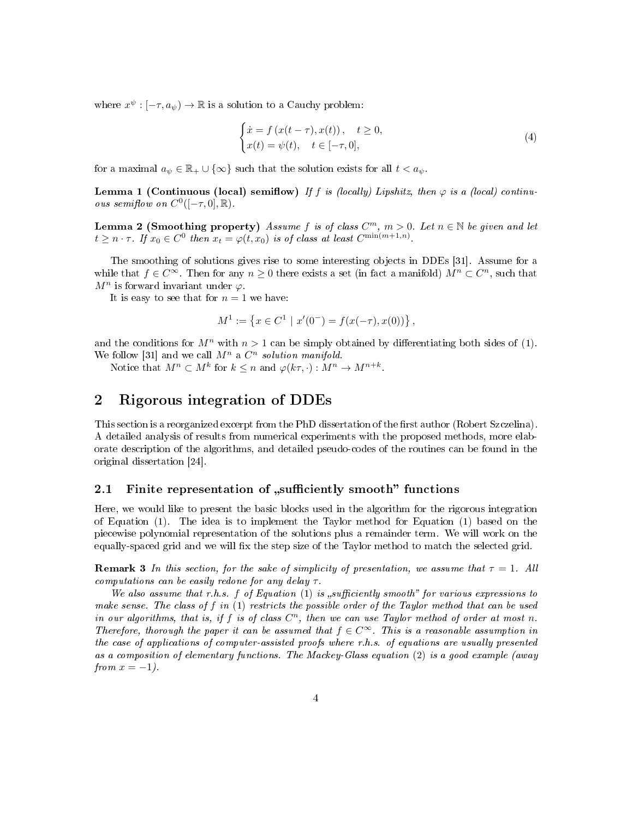where  $x^{\psi}: [-\tau, a_{\psi}) \to \mathbb{R}$  is a solution to a Cauchy problem:

$$
\begin{cases}\n\dot{x} = f(x(t-\tau), x(t)), & t \ge 0, \\
x(t) = \psi(t), & t \in [-\tau, 0],\n\end{cases}
$$
\n(4)

for a maximal  $a_{\psi} \in \mathbb{R}_{+} \cup \{\infty\}$  such that the solution exists for all  $t < a_{\psi}$ .

**Lemma 1 (Continuous (local) semiflow)** If f is (locally) Lipshitz, then  $\varphi$  is a (local) continuous semiflow on  $C^0([-\tau,0],\mathbb{R})$ .

**Lemma 2 (Smoothing property)** Assume f is of class  $C^m$ ,  $m > 0$ . Let  $n \in \mathbb{N}$  be given and let  $t \geq n \cdot \tau$ . If  $x_0 \in C^0$  then  $x_t = \varphi(t, x_0)$  is of class at least  $C^{\min(m+1,n)}$ .

The smoothing of solutions gives rise to some interesting objects in DDEs [31]. Assume for a while that  $f \in C^{\infty}$ . Then for any  $n \geq 0$  there exists a set (in fact a manifold)  $M^{n} \subset C^{n}$ , such that  $M^n$  is forward invariant under  $\varphi$ .

It is easy to see that for  $n = 1$  we have:

$$
M^{1} := \left\{ x \in C^{1} \mid x'(0^{-}) = f(x(-\tau), x(0)) \right\},\,
$$

and the conditions for  $M^n$  with  $n > 1$  can be simply obtained by differentiating both sides of (1). We follow [31] and we call  $M^n$  a  $C^n$  solution manifold.

Notice that  $M^n \subset M^k$  for  $k \leq n$  and  $\varphi(k\tau, \cdot) : M^n \to M^{n+k}$ .

# 2 Rigorous integration of DDEs

This section is a reorganized excerpt from the PhD dissertation of the first author (Robert Szczelina). A detailed analysis of results from numerical experiments with the proposed methods, more elaborate description of the algorithms, and detailed pseudo-codes of the routines can be found in the original dissertation [24].

# 2.1 Finite representation of "sufficiently smooth" functions

Here, we would like to present the basic blocks used in the algorithm for the rigorous integration of Equation (1). The idea is to implement the Taylor method for Equation (1) based on the piecewise polynomial representation of the solutions plus a remainder term. We will work on the equally-spaced grid and we will fix the step size of the Taylor method to match the selected grid.

**Remark 3** In this section, for the sake of simplicity of presentation, we assume that  $\tau = 1$ . All computations can be easily redone for any delay  $\tau$ .

We also assume that r.h.s. f of Equation (1) is sufficiently smooth" for various expressions to make sense. The class of  $f$  in  $(1)$  restricts the possible order of the Taylor method that can be used in our algorithms, that is, if f is of class  $C<sup>n</sup>$ , then we can use Taylor method of order at most n. Therefore, thorough the paper it can be assumed that  $f \in C^{\infty}$ . This is a reasonable assumption in the case of applications of computer-assisted proofs where r.h.s. of equations are usually presented as a composition of elementary functions. The Mackey-Glass equation (2) is a good example (away from  $x = -1$ ).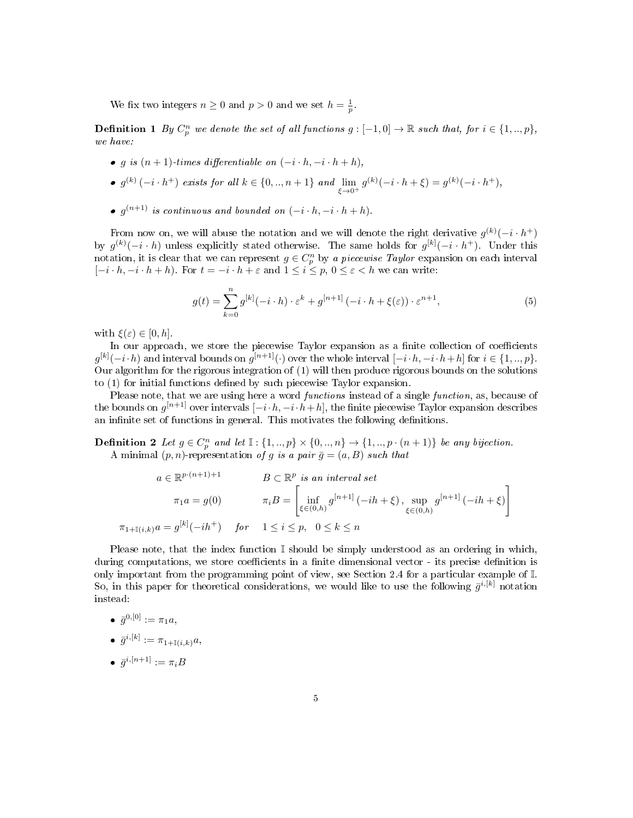We fix two integers  $n \geq 0$  and  $p > 0$  and we set  $h = \frac{1}{p}$ .

**Definition 1** By  $C_p^n$  we denote the set of all functions  $g: [-1, 0] \to \mathbb{R}$  such that, for  $i \in \{1, ..., p\}$ , we have:

- g is  $(n + 1)$ -times differentiable on  $(-i \cdot h, -i \cdot h + h)$ ,
- $g^{(k)}(-i \cdot h^+)$  exists for all  $k \in \{0, ..., n+1\}$  and  $\lim_{\xi \to 0^+} g^{(k)}(-i \cdot h + \xi) = g^{(k)}(-i \cdot h^+),$
- $\bullet$  g<sup>(n+1)</sup> is continuous and bounded on  $(-i \cdot h, -i \cdot h + h)$ .

From now on, we will abuse the notation and we will denote the right derivative  $g^{(k)}(-i \cdot h^{+})$ by  $g^{(k)}(-i \cdot h)$  unless explicitly stated otherwise. The same holds for  $g^{[k]}(-i \cdot h^{+})$ . Under this notation, it is clear that we can represent  $g \in C_p^n$  by a piecewise Taylor expansion on each interval  $[-i \cdot h, -i \cdot h + h]$ . For  $t = -i \cdot h + \varepsilon$  and  $1 \leq i \leq p, 0 \leq \varepsilon < h$  we can write:

$$
g(t) = \sum_{k=0}^{n} g^{[k]}(-i \cdot h) \cdot \varepsilon^{k} + g^{[n+1]}(-i \cdot h + \xi(\varepsilon)) \cdot \varepsilon^{n+1},
$$
\n(5)

with  $\xi(\varepsilon) \in [0, h]$ .

In our approach, we store the piecewise Taylor expansion as a finite collection of coefficients  $g^{[k]}(-i\cdot h)$  and interval bounds on  $g^{[n+1]}(\cdot)$  over the whole interval  $[-i\cdot h,-i\cdot h+h]$  for  $i\in\{1,..,p\}$ . Our algorithm for the rigorous integration of (1) will then produce rigorous bounds on the solutions to (1) for initial functions defined by such piecewise Taylor expansion.

Please note, that we are using here a word *functions* instead of a single *function*, as, because of the bounds on  $g^{[n+1]}$  over intervals  $[-i\cdot h,-i\cdot h+h],$  the finite piecewise Taylor expansion describes an infinite set of functions in general. This motivates the following definitions.

**Definition 2** Let  $g \in C_p^n$  and let  $\mathbb{I}: \{1, ..., p\} \times \{0, ..., n\} \to \{1, ..., p \cdot (n+1)\}$  be any bijection. A minimal  $(p, n)$ -representation of g is a pair  $\bar{g} = (a, B)$  such that

$$
a \in \mathbb{R}^{p \cdot (n+1)+1}
$$
  
\n
$$
B \subset \mathbb{R}^p
$$
 is an interval set  
\n
$$
\pi_1 a = g(0)
$$
  
\n
$$
\pi_i B = \begin{bmatrix} \inf_{\xi \in (0,h)} g^{[n+1]} \left( -ih + \xi \right), & \sup_{\xi \in (0,h)} g^{[n+1]} \left( -ih + \xi \right) \end{bmatrix}
$$
  
\n
$$
\pi_{1+\mathbb{I}(i,k)} a = g^{[k]}(-ih^+) \quad \text{for} \quad 1 \le i \le p, \quad 0 \le k \le n
$$

Please note, that the index function  $\mathbb I$  should be simply understood as an ordering in which, during computations, we store coefficients in a finite dimensional vector - its precise definition is only important from the programming point of view, see Section 2.4 for a particular example of I. So, in this paper for theoretical considerations, we would like to use the following  $\bar{g}^{i,[k]}$  notation instead:

$$
\quad \bullet \ \ \bar{g}^{0,[0]}:=\pi_1a,
$$

$$
\quad \bullet \ \ \bar{g}^{i,[k]}:=\pi_{1+\mathbb{I}(i,k)}a,
$$

 $\bullet$   $\bar{g}^{i,[n+1]} := \pi_i B$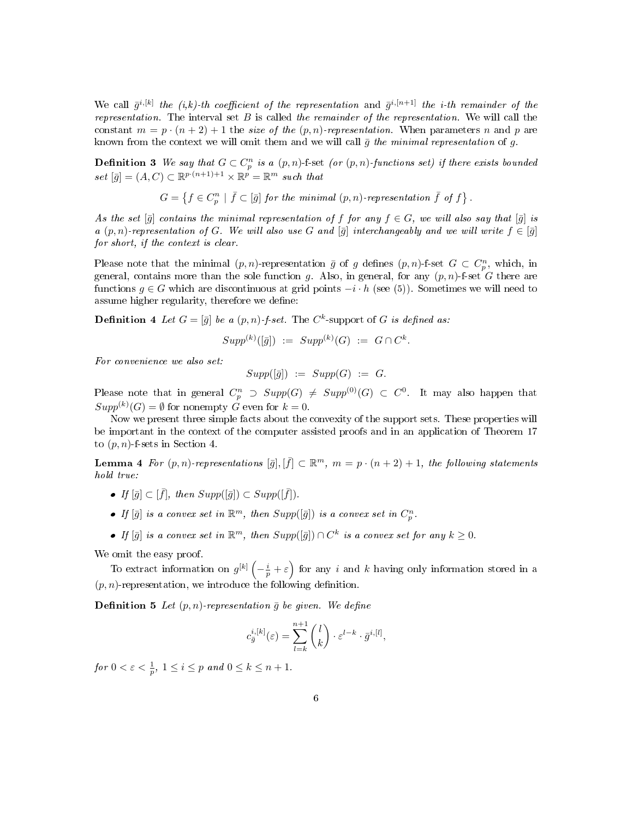We call  $\bar{g}^{i,[k]}$  the  $(i,k)$ -th coefficient of the representation and  $\bar{g}^{i,[n+1]}$  the *i*-th remainder of the representation. The interval set  $B$  is called the remainder of the representation. We will call the constant  $m = p \cdot (n + 2) + 1$  the size of the  $(p, n)$ -representation. When parameters n and p are known from the context we will omit them and we will call  $\bar{g}$  the minimal representation of g.

**Definition 3** We say that  $G \subset C_p^n$  is a  $(p, n)$ -f-set (or  $(p, n)$ -functions set) if there exists bounded set  $[\bar{g}] = (A, C) \subset \mathbb{R}^{p \cdot (n+1)+1} \times \mathbb{R}^p = \mathbb{R}^m$  such that

 $G = \left\{f \in C_p^n \mid \overline{f} \subset [\overline{g}] \text{ for the minimal } (p,n) \text{-representation } \overline{f} \text{ of } f \right\}.$ 

As the set  $[\bar{g}]$  contains the minimal representation of f for any  $f \in G$ , we will also say that  $[\bar{g}]$  is a  $(p, n)$ -representation of G. We will also use G and  $[\bar{g}]$  interchangeably and we will write  $f \in [\bar{g}]$ for short, if the context is clear.

Please note that the minimal  $(p, n)$ -representation  $\bar{g}$  of g defines  $(p, n)$ -f-set  $G \subset C_p^n$ , which, in general, contains more than the sole function g. Also, in general, for any  $(p, n)$ -f-set G there are functions  $q \in G$  which are discontinuous at grid points  $-i \cdot h$  (see (5)). Sometimes we will need to assume higher regularity, therefore we define:

**Definition 4** Let  $G = [\bar{g}]$  be a  $(p, n)$ -f-set. The  $C^k$ -support of G is defined as:

$$
Supp^{(k)}([\bar{g}]) := Supp^{(k)}(G) := G \cap C^{k}.
$$

For convenience we also set:

 $Supp([\overline{q}]) := Supp(G) := G.$ 

Please note that in general  $C_p^n \supset Supp(G) \neq Supp^{(0)}(G) \subset C^0$ . It may also happen that  $Supp^{(k)}(G) = \emptyset$  for nonempty G even for  $k = 0$ .

Now we present three simple facts about the convexity of the support sets. These properties will be important in the context of the computer assisted proofs and in an application of Theorem 17 to  $(p, n)$ -f-sets in Section 4.

**Lemma 4** For  $(p, n)$ -representations  $[\bar{g}], [\bar{f}] \subset \mathbb{R}^m$ ,  $m = p \cdot (n+2) + 1$ , the following statements hold true:

- If  $[\bar{g}] \subset [\bar{f}],$  then  $Supp([\bar{g}]) \subset Supp([\bar{f}]).$
- If  $[\bar{g}]$  is a convex set in  $\mathbb{R}^m$ , then  $Supp([\bar{g}])$  is a convex set in  $C_p^n$ .
- If  $[\bar{g}]$  is a convex set in  $\mathbb{R}^m$ , then  $Supp([\bar{g}]) \cap C^k$  is a convex set for any  $k \geq 0$ .

We omit the easy proof.

To extract information on  $g^{[k]}(-\frac{i}{p}+\varepsilon)$  for any i and k having only information stored in a  $(p, n)$ -representation, we introduce the following definition.

**Definition 5** Let  $(p, n)$ -representation  $\bar{q}$  be given. We define

$$
c_{\bar{g}}^{i,[k]}(\varepsilon) = \sum_{l=k}^{n+1} {l \choose k} \cdot \varepsilon^{l-k} \cdot \bar{g}^{i,[l]},
$$

for  $0 < \varepsilon < \frac{1}{p}$ ,  $1 \leq i \leq p$  and  $0 \leq k \leq n+1$ .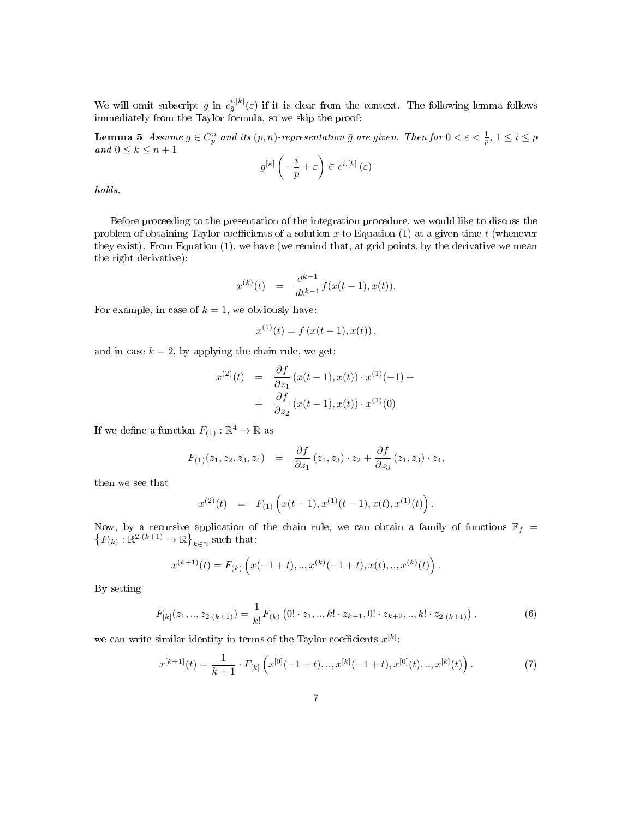We will omit subscript  $\bar{g}$  in  $c_{\bar{g}}^{i,[k]}(\varepsilon)$  if it is clear from the context. The following lemma follows immediately from the Taylor formula, so we skip the proof:

**Lemma 5** Assume  $g \in C_p^n$  and its  $(p, n)$ -representation  $\bar{g}$  are given. Then for  $0 < \varepsilon < \frac{1}{p}$ ,  $1 \leq i \leq p$ and  $0 \leq k \leq n+1$ 

$$
g^{[k]}\left(-\frac{i}{p}+\varepsilon\right) \in c^{i,[k]}\left(\varepsilon\right)
$$

holds.

Before proceeding to the presentation of the integration procedure, we would like to discuss the problem of obtaining Taylor coefficients of a solution x to Equation (1) at a given time t (whenever they exist). From Equation (1), we have (we remind that, at grid points, by the derivative we mean the right derivative):

$$
x^{(k)}(t) = \frac{d^{k-1}}{dt^{k-1}} f(x(t-1), x(t)).
$$

For example, in case of  $k = 1$ , we obviously have:

$$
x^{(1)}(t) = f(x(t-1), x(t)),
$$

and in case  $k = 2$ , by applying the chain rule, we get:

$$
x^{(2)}(t) = \frac{\partial f}{\partial z_1} (x(t-1), x(t)) \cdot x^{(1)}(-1) + + \frac{\partial f}{\partial z_2} (x(t-1), x(t)) \cdot x^{(1)}(0)
$$

If we define a function  $F_{(1)} : \mathbb{R}^4 \to \mathbb{R}$  as

$$
F_{(1)}(z_1, z_2, z_3, z_4) = \frac{\partial f}{\partial z_1}(z_1, z_3) \cdot z_2 + \frac{\partial f}{\partial z_3}(z_1, z_3) \cdot z_4,
$$

then we see that

$$
x^{(2)}(t) = F_{(1)}(x(t-1), x^{(1)}(t-1), x(t), x^{(1)}(t)).
$$

Now, by a recursive application of the chain rule, we can obtain a family of functions  $\mathbb{F}_f$  =  $\left\{F_{(k)}:\mathbb{R}^{2\cdot (k+1)}\to\mathbb{R}\right\}_{k\in\mathbb{N}}$  such that:

$$
x^{(k+1)}(t) = F_{(k)}\left(x(-1+t),...,x^{(k)}(-1+t),x(t),...,x^{(k)}(t)\right).
$$

By setting

$$
F_{[k]}(z_1,..,z_{2\cdot (k+1)}) = \frac{1}{k!}F_{(k)}\left(0!\cdot z_1,..,k!\cdot z_{k+1},0!\cdot z_{k+2},..,k!\cdot z_{2\cdot (k+1)}\right),\tag{6}
$$

we can write similar identity in terms of the Taylor coefficients  $x^{[k]}$ .

$$
x^{[k+1]}(t) = \frac{1}{k+1} \cdot F_{[k]} \left( x^{[0]}(-1+t), \dots, x^{[k]}(-1+t), x^{[0]}(t), \dots, x^{[k]}(t) \right). \tag{7}
$$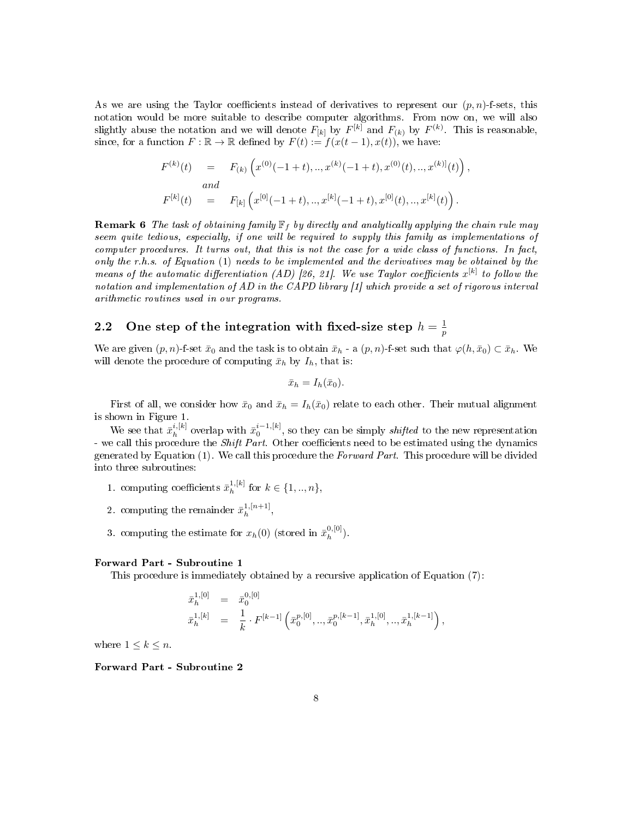As we are using the Taylor coefficients instead of derivatives to represent our  $(p, n)$ -f-sets, this notation would be more suitable to describe computer algorithms. From now on, we will also slightly abuse the notation and we will denote  $F_{[k]}$  by  $F^{[k]}$  and  $F_{(k)}$  by  $F^{(k)}$ . This is reasonable, since, for a function  $F : \mathbb{R} \to \mathbb{R}$  defined by  $F(t) := f(x(t-1), x(t))$ , we have:

$$
F^{(k)}(t) = F_{(k)}(x^{(0)}(-1+t), ..., x^{(k)}(-1+t), x^{(0)}(t), ..., x^{(k)}(t)),
$$
  
and  

$$
F^{[k]}(t) = F_{[k]}(x^{[0]}(-1+t), ..., x^{[k]}(-1+t), x^{[0]}(t), ..., x^{[k]}(t)).
$$

**Remark 6** The task of obtaining family  $\mathbb{F}_f$  by directly and analytically applying the chain rule may seem quite tedious, especially, if one will be required to supply this family as implementations of computer procedures. It turns out, that this is not the case for a wide class of functions. In fact, only the r.h.s. of Equation  $(1)$  needs to be implemented and the derivatives may be obtained by the means of the automatic differentiation (AD) [26, 21]. We use Taylor coefficients  $x^{[k]}$  to follow the notation and implementation of AD in the CAPD library [1] which provide a set of rigorous interval arithmetic routines used in our programs.

#### 2.2 One step of the integration with fixed-size step  $h = \frac{1}{n}$ p

We are given  $(p, n)$ -f-set  $\bar{x}_0$  and the task is to obtain  $\bar{x}_h$  - a  $(p, n)$ -f-set such that  $\varphi(h, \bar{x}_0) \subset \bar{x}_h$ . We will denote the procedure of computing  $\bar{x}_h$  by  $I_h$ , that is:

$$
\bar{x}_h = I_h(\bar{x}_0).
$$

First of all, we consider how  $\bar{x}_0$  and  $\bar{x}_h = I_h(\bar{x}_0)$  relate to each other. Their mutual alignment is shown in Figure 1.

We see that  $\bar{x}_h^{i,[k]}$  $\tilde{h}_h^{i,[k]}$  overlap with  $\bar{x}_0^{i-1,[k]}$ , so they can be simply *shifted* to the new representation - we call this procedure the Shift Part. Other coefficients need to be estimated using the dynamics generated by Equation  $(1)$ . We call this procedure the Forward Part. This procedure will be divided into three subroutines:

- 1. computing coefficients  $\bar{x}_h^{1,[k]}$  $h^{1,[k]}$  for  $k \in \{1, ..., n\},\$
- 2. computing the remainder  $\bar{x}_h^{1,[n+1]}$  $h^{(n+1)},$
- 3. computing the estimate for  $x_h(0)$  (stored in  $\bar{x}_h^{0,[0]}$  $\binom{[0, [0]}{h}$ .

#### Forward Part - Subroutine 1

This procedure is immediately obtained by a recursive application of Equation (7):

$$
\begin{array}{rcl}\bar{x}_h^{1,[0]} & = & \bar{x}_0^{0,[0]}\\ \bar{x}_h^{1,[k]} & = & \frac{1}{k}\cdot F^{[k-1]}\left(\bar{x}_0^{p,[0]},..,\bar{x}_0^{p,[k-1]},\bar{x}_h^{1,[0]},..,\bar{x}_h^{1,[k-1]}\right),\end{array}
$$

where  $1 \leq k \leq n$ .

Forward Part - Subroutine 2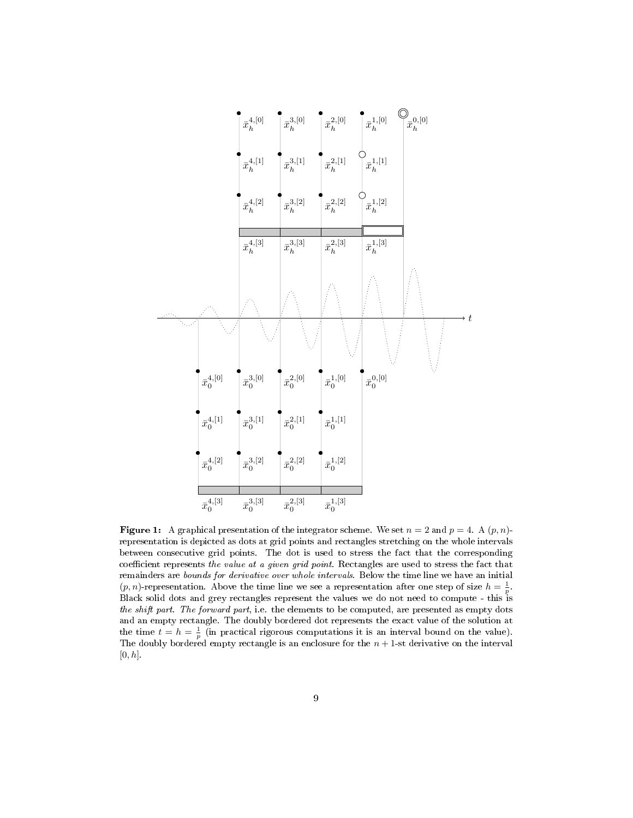

**Figure 1:** A graphical presentation of the integrator scheme. We set  $n = 2$  and  $p = 4$ . A  $(p, n)$ representation is depicted as dots at grid points and rectangles stretching on the whole intervals between consecutive grid points. The dot is used to stress the fact that the corresponding coefficient represents the value at a given grid point. Rectangles are used to stress the fact that remainders are bounds for derivative over whole intervals. Below the time line we have an initial  $(p, n)$ -representation. Above the time line we see a representation after one step of size  $h = \frac{1}{p}$ . Black solid dots and grey rectangles represent the values we do not need to compute - this is the shift part. The forward part, i.e. the elements to be computed, are presented as empty dots and an empty rectangle. The doubly bordered dot represents the exact value of the solution at the time  $t = h = \frac{1}{p}$  (in practical rigorous computations it is an interval bound on the value). The doubly bordered empty rectangle is an enclosure for the  $n + 1$ -st derivative on the interval  $[0, h]$ .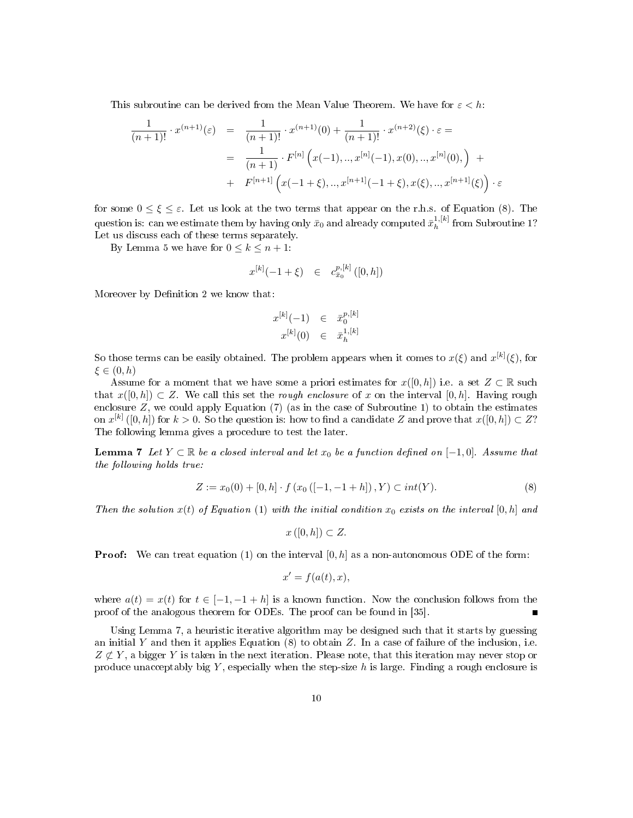This subroutine can be derived from the Mean Value Theorem. We have for  $\varepsilon < h$ :

$$
\frac{1}{(n+1)!} \cdot x^{(n+1)}(\varepsilon) = \frac{1}{(n+1)!} \cdot x^{(n+1)}(0) + \frac{1}{(n+1)!} \cdot x^{(n+2)}(\xi) \cdot \varepsilon =
$$
\n
$$
= \frac{1}{(n+1)} \cdot F^{[n]} \left( x(-1), \dots, x^{[n]}(-1), x(0), \dots, x^{[n]}(0), \right) + F^{[n+1]} \left( x(-1+\xi), \dots, x^{[n+1]}(-1+\xi), x(\xi), \dots, x^{[n+1]}(\xi) \right) \cdot \varepsilon
$$

for some  $0 \leq \xi \leq \varepsilon$ . Let us look at the two terms that appear on the r.h.s. of Equation (8). The question is: can we estimate them by having only  $\bar{x}_0$  and already computed  $\bar{x}_h^{1,[k]}$  $h^{1,[K]}$  from Subroutine 1? Let us discuss each of these terms separately.

By Lemma 5 we have for  $0 \leq k \leq n+1$ :

$$
x^{[k]}(-1+\xi) \quad \in \quad c_{\bar{x}_0}^{p,[k]}([0,h])
$$

Moreover by Definition 2 we know that:

$$
x^{[k]}(-1) \quad \in \quad \bar{x}_0^{p,[k]}\\ x^{[k]}(0) \quad \in \quad \bar{x}_h^{1,[k]}
$$

So those terms can be easily obtained. The problem appears when it comes to  $x(\xi)$  and  $x^{[k]}(\xi)$ , for  $\xi \in (0, h)$ 

Assume for a moment that we have some a priori estimates for  $x([0,h])$  i.e. a set  $Z \subset \mathbb{R}$  such that  $x([0,h]) \subset Z$ . We call this set the *rough enclosure* of x on the interval [0, h]. Having rough enclosure  $Z$ , we could apply Equation (7) (as in the case of Subroutine 1) to obtain the estimates on  $x^{[k]}([0,h])$  for  $k > 0$ . So the question is: how to find a candidate Z and prove that  $x([0,h]) \subset Z$ ? The following lemma gives a procedure to test the later.

**Lemma 7** Let  $Y \subset \mathbb{R}$  be a closed interval and let  $x_0$  be a function defined on  $[-1, 0]$ . Assume that the following holds true:

$$
Z := x_0(0) + [0, h] \cdot f(x_0([-1, -1 + h]), Y) \subset int(Y). \tag{8}
$$

Then the solution  $x(t)$  of Equation (1) with the initial condition  $x_0$  exists on the interval [0, h] and

$$
x([0,h]) \subset Z.
$$

**Proof:** We can treat equation (1) on the interval  $[0, h]$  as a non-autonomous ODE of the form:

$$
x' = f(a(t), x),
$$

where  $a(t) = x(t)$  for  $t \in [-1, -1 + h]$  is a known function. Now the conclusion follows from the proof of the analogous theorem for ODEs. The proof can be found in [35].  $\blacksquare$ 

Using Lemma 7, a heuristic iterative algorithm may be designed such that it starts by guessing an initial Y and then it applies Equation  $(8)$  to obtain Z. In a case of failure of the inclusion, i.e.  $Z \not\subset Y$ , a bigger Y is taken in the next iteration. Please note, that this iteration may never stop or produce unacceptably big  $Y$ , especially when the step-size h is large. Finding a rough enclosure is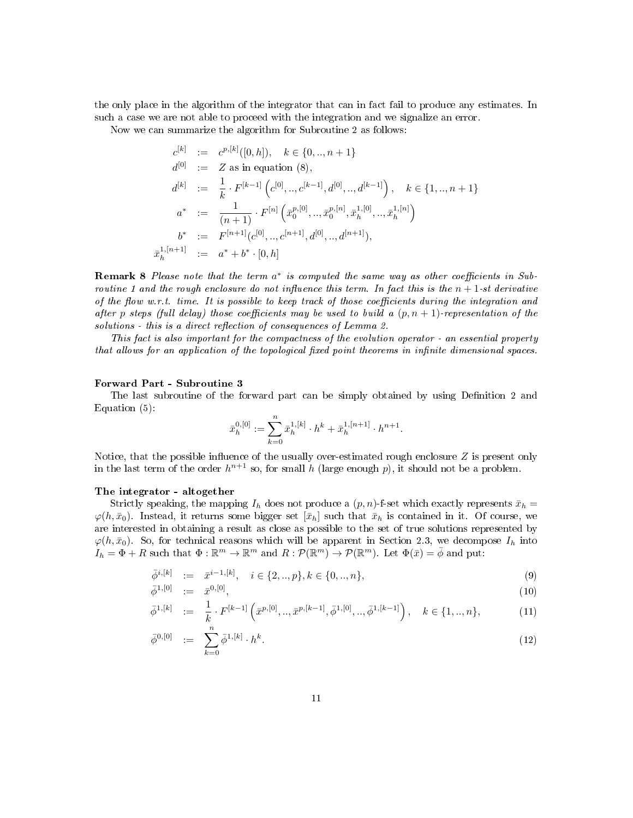the only place in the algorithm of the integrator that can in fact fail to produce any estimates. In such a case we are not able to proceed with the integration and we signalize an error.

Now we can summarize the algorithm for Subroutine 2 as follows:

$$
c^{[k]} := c^{p,[k]}([0,h]), \quad k \in \{0, ..., n+1\}
$$
  
\n
$$
d^{[0]} := Z \text{ as in equation (8),}
$$
  
\n
$$
d^{[k]} := \frac{1}{k} \cdot F^{[k-1]}(c^{[0]}, ..., c^{[k-1]}, d^{[0]}, ..., d^{[k-1]}), \quad k \in \{1, ..., n+1\}
$$
  
\n
$$
a^* := \frac{1}{(n+1)} \cdot F^{[n]}(\bar{x}_0^{p,[0]}, ..., \bar{x}_0^{p,[n]}, \bar{x}_h^{1,[0]}, ..., \bar{x}_h^{1,[n]})
$$
  
\n
$$
b^* := F^{[n+1]}(c^{[0]}, ..., c^{[n+1]}, d^{[0]}, ..., d^{[n+1]}),
$$
  
\n
$$
\bar{x}_h^{1,[n+1]} := a^* + b^* \cdot [0, h]
$$

**Remark 8** Please note that the term  $a^*$  is computed the same way as other coefficients in Subroutine 1 and the rough enclosure do not influence this term. In fact this is the  $n + 1$ -st derivative of the flow w.r.t. time. It is possible to keep track of those coefficients during the integration and after p steps (full delay) those coefficients may be used to build a  $(p, n + 1)$ -representation of the  $solutions$  - this is a direct reflection of consequences of Lemma 2.

This fact is also important for the compactness of the evolution operator - an essential property that allows for an application of the topological fixed point theorems in infinite dimensional spaces.

#### Forward Part - Subroutine 3

The last subroutine of the forward part can be simply obtained by using Definition 2 and Equation (5):

$$
\bar{x}_h^{0,[0]} := \sum_{k=0}^n \bar{x}_h^{1,[k]} \cdot h^k + \bar{x}_h^{1,[n+1]} \cdot h^{n+1}.
$$

Notice, that the possible influence of the usually over-estimated rough enclosure  $Z$  is present only in the last term of the order  $h^{n+1}$  so, for small h (large enough p), it should not be a problem.

#### The integrator - altogether

Strictly speaking, the mapping  $I_h$  does not produce a  $(p, n)$ -f-set which exactly represents  $\bar{x}_h$  =  $\varphi(h, \bar{x}_0)$ . Instead, it returns some bigger set  $[\bar{x}_h]$  such that  $\bar{x}_h$  is contained in it. Of course, we are interested in obtaining a result as close as possible to the set of true solutions represented by  $\varphi(h, \bar{x}_0)$ . So, for technical reasons which will be apparent in Section 2.3, we decompose  $I_h$  into  $I_h = \Phi + R$  such that  $\Phi : \mathbb{R}^m \to \mathbb{R}^m$  and  $R : \mathcal{P}(\mathbb{R}^m) \to \mathcal{P}(\mathbb{R}^m)$ . Let  $\Phi(\bar{x}) = \bar{\phi}$  and put:

$$
\bar{\phi}^{i,[k]} := \bar{x}^{i-1,[k]}, \quad i \in \{2,..,p\}, k \in \{0,..,n\},\tag{9}
$$

$$
\bar{\phi}^{1,[0]} := \bar{x}^{0,[0]},\tag{10}
$$

$$
\bar{\phi}^{1,[k]} := \frac{1}{k} \cdot F^{[k-1]} \left( \bar{x}^{p,[0]}, \dots, \bar{x}^{p,[k-1]}, \bar{\phi}^{1,[0]}, \dots, \bar{\phi}^{1,[k-1]} \right), \quad k \in \{1, \dots, n\},\tag{11}
$$

$$
\bar{\phi}^{0,[0]} := \sum_{k=0}^{n} \bar{\phi}^{1,[k]} \cdot h^{k}.
$$
\n(12)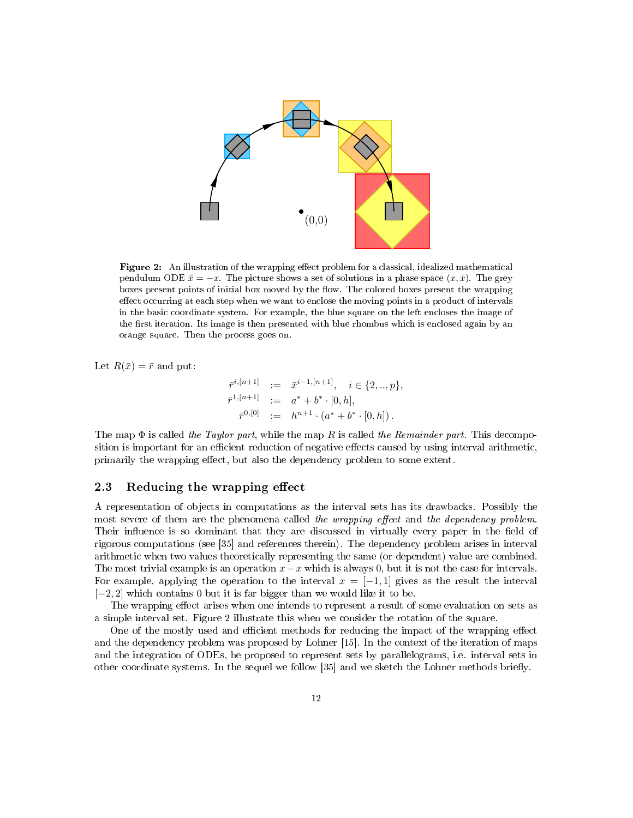

Figure 2: An illustration of the wrapping effect problem for a classical, idealized mathematical pendulum ODE  $\ddot{x} = -x$ . The picture shows a set of solutions in a phase space  $(x, \dot{x})$ . The grey boxes present points of initial box moved by the flow. The colored boxes present the wrapping effect occurring at each step when we want to enclose the moving points in a product of intervals in the basic coordinate system. For example, the blue square on the left encloses the image of the first iteration. Its image is then presented with blue rhombus which is enclosed again by an orange square. Then the process goes on.

Let  $R(\bar{x}) = \bar{r}$  and put:

$$
\begin{aligned}\n\bar{r}^{i,[n+1]} &:= \bar{x}^{i-1,[n+1]}, \quad i \in \{2,..,p\}, \\
\bar{r}^{1,[n+1]} &:= a^* + b^* \cdot [0,h], \\
\bar{r}^{0,[0]} &:= h^{n+1} \cdot (a^* + b^* \cdot [0,h]).\n\end{aligned}
$$

The map  $\Phi$  is called the Taylor part, while the map R is called the Remainder part. This decomposition is important for an efficient reduction of negative effects caused by using interval arithmetic, primarily the wrapping effect, but also the dependency problem to some extent.

### 2.3 Reducing the wrapping effect

A representation of objects in computations as the interval sets has its drawbacks. Possibly the most severe of them are the phenomena called the wrapping effect and the dependency problem. Their influence is so dominant that they are discussed in virtually every paper in the field of rigorous computations (see [35] and references therein). The dependency problem arises in interval arithmetic when two values theoretically representing the same (or dependent) value are combined. The most trivial example is an operation  $x-x$  which is always 0, but it is not the case for intervals. For example, applying the operation to the interval  $x = [-1, 1]$  gives as the result the interval [−2, 2] which contains 0 but it is far bigger than we would like it to be.

The wrapping effect arises when one intends to represent a result of some evaluation on sets as a simple interval set. Figure 2 illustrate this when we consider the rotation of the square.

One of the mostly used and efficient methods for reducing the impact of the wrapping effect and the dependency problem was proposed by Lohner [15]. In the context of the iteration of maps and the integration of ODEs, he proposed to represent sets by parallelograms, i.e. interval sets in other coordinate systems. In the sequel we follow [35] and we sketch the Lohner methods briey.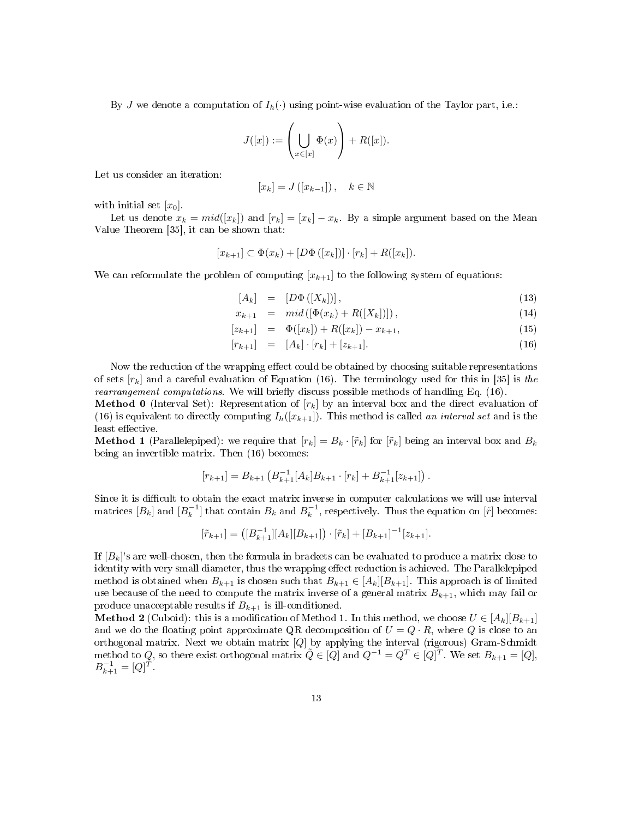By J we denote a computation of  $I_h(\cdot)$  using point-wise evaluation of the Taylor part, i.e.:

$$
J([x]) := \left(\bigcup_{x \in [x]} \Phi(x)\right) + R([x]).
$$

Let us consider an iteration:

$$
[x_k] = J([x_{k-1}]), \quad k \in \mathbb{N}
$$

with initial set  $[x_0]$ .

Let us denote  $x_k = mid([x_k])$  and  $[r_k] = [x_k] - x_k$ . By a simple argument based on the Mean Value Theorem [35], it can be shown that:

$$
[x_{k+1}] \subset \Phi(x_k) + [D\Phi([x_k])] \cdot [r_k] + R([x_k]).
$$

We can reformulate the problem of computing  $[x_{k+1}]$  to the following system of equations:

$$
[A_k] = [D\Phi([X_k])], \tag{13}
$$

$$
x_{k+1} = mid([\Phi(x_k) + R([X_k)]]), \qquad (14)
$$

$$
[z_{k+1}] = \Phi([x_k]) + R([x_k]) - x_{k+1}, \qquad (15)
$$

$$
[r_{k+1}] = [A_k] \cdot [r_k] + [z_{k+1}]. \tag{16}
$$

Now the reduction of the wrapping effect could be obtained by choosing suitable representations of sets  $[r_k]$  and a careful evaluation of Equation (16). The terminology used for this in [35] is the rearrangement computations. We will briefly discuss possible methods of handling Eq. (16).

**Method 0** (Interval Set): Representation of  $[r_k]$  by an interval box and the direct evaluation of (16) is equivalent to directly computing  $I_h([x_{k+1}])$ . This method is called an interval set and is the least effective.

**Method 1** (Parallelepiped): we require that  $[r_k] = B_k \cdot [\tilde{r}_k]$  for  $[\tilde{r}_k]$  being an interval box and  $B_k$ being an invertible matrix. Then (16) becomes:

$$
[r_{k+1}] = B_{k+1} \left( B_{k+1}^{-1} [A_k] B_{k+1} \cdot [r_k] + B_{k+1}^{-1} [z_{k+1}] \right).
$$

Since it is difficult to obtain the exact matrix inverse in computer calculations we will use interval matrices  $[B_k]$  and  $[B_k^{-1}]$  that contain  $B_k$  and  $B_k^{-1}$ , respectively. Thus the equation on  $[\tilde{r}]$  becomes:

$$
[\tilde{r}_{k+1}] = ([B_{k+1}^{-1}][A_k][B_{k+1}]) \cdot [\tilde{r}_k] + [B_{k+1}]^{-1} [z_{k+1}].
$$

If  $[B_k]$ 's are well-chosen, then the formula in brackets can be evaluated to produce a matrix close to identity with very small diameter, thus the wrapping effect reduction is achieved. The Parallelepiped method is obtained when  $B_{k+1}$  is chosen such that  $B_{k+1} \in [A_k][B_{k+1}]$ . This approach is of limited use because of the need to compute the matrix inverse of a general matrix  $B_{k+1}$ , which may fail or produce unacceptable results if  $B_{k+1}$  is ill-conditioned.

**Method 2** (Cuboid): this is a modification of Method 1. In this method, we choose  $U \in [A_k][B_{k+1}]$ and we do the floating point approximate QR decomposition of  $U = Q \cdot R$ , where Q is close to an orthogonal matrix. Next we obtain matrix [Q] by applying the interval (rigorous) Gram-Schmidt method to Q, so there exist orthogonal matrix  $\tilde{Q} \in [Q]$  and  $Q^{-1} = Q^T \in [Q]^T$ . We set  $B_{k+1} = [Q]$ ,  $B_{k+1}^{-1} = [Q]^T$ .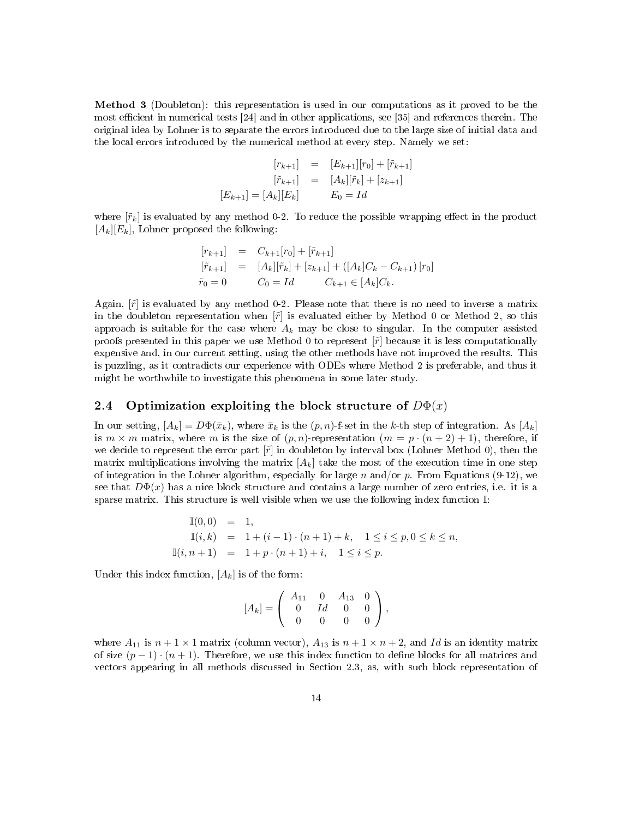Method 3 (Doubleton): this representation is used in our computations as it proved to be the most efficient in numerical tests  $[24]$  and in other applications, see  $[35]$  and references therein. The original idea by Lohner is to separate the errors introduced due to the large size of initial data and the local errors introduced by the numerical method at every step. Namely we set:

$$
\begin{aligned}\n[r_{k+1}] &= [E_{k+1}][r_0] + [\tilde{r}_{k+1}] \\
[\tilde{r}_{k+1}] &= [A_k][\tilde{r}_k] + [z_{k+1}] \\
[E_{k+1}] &= [A_k][E_k] \\
E_0 &= Id\n\end{aligned}
$$

where  $[\tilde{r}_k]$  is evaluated by any method 0-2. To reduce the possible wrapping effect in the product  $[A_k][E_k]$ , Lohner proposed the following:

$$
\begin{array}{rcl}\n[r_{k+1}] & = & C_{k+1}[r_0] + [\tilde{r}_{k+1}] \\
[\tilde{r}_{k+1}] & = & [A_k][\tilde{r}_k] + [z_{k+1}] + ([A_k]C_k - C_{k+1}) [r_0] \\
\tilde{r}_0 = 0 & C_0 = Id & C_{k+1} \in [A_k]C_k.\n\end{array}
$$

Again,  $[\tilde{r}]$  is evaluated by any method 0-2. Please note that there is no need to inverse a matrix in the doubleton representation when  $[\tilde{r}]$  is evaluated either by Method 0 or Method 2, so this approach is suitable for the case where  $A_k$  may be close to singular. In the computer assisted proofs presented in this paper we use Method 0 to represent  $\lbrack \tilde{r} \rbrack$  because it is less computationally expensive and, in our current setting, using the other methods have not improved the results. This is puzzling, as it contradicts our experience with ODEs where Method 2 is preferable, and thus it might be worthwhile to investigate this phenomena in some later study.

### 2.4 Optimization exploiting the block structure of  $D\Phi(x)$

In our setting,  $[A_k] = D\Phi(\bar{x}_k)$ , where  $\bar{x}_k$  is the  $(p, n)$ -f-set in the k-th step of integration. As  $[A_k]$ is  $m \times m$  matrix, where m is the size of  $(p, n)$ -representation  $(m = p \cdot (n + 2) + 1)$ , therefore, if we decide to represent the error part  $[\tilde{r}]$  in doubleton by interval box (Lohner Method 0), then the matrix multiplications involving the matrix  $[A_k]$  take the most of the execution time in one step of integration in the Lohner algorithm, especially for large n and/or p. From Equations (9-12), we see that  $D\Phi(x)$  has a nice block structure and contains a large number of zero entries, i.e. it is a sparse matrix. This structure is well visible when we use the following index function I:

$$
\mathbb{I}(0,0) = 1,\n\mathbb{I}(i,k) = 1 + (i-1) \cdot (n+1) + k, \quad 1 \le i \le p, 0 \le k \le n,\n\mathbb{I}(i,n+1) = 1 + p \cdot (n+1) + i, \quad 1 \le i \le p.
$$

Under this index function,  $[A_k]$  is of the form:

$$
[A_k] = \left(\begin{array}{cccc} A_{11} & 0 & A_{13} & 0 \\ 0 & Id & 0 & 0 \\ 0 & 0 & 0 & 0 \end{array}\right),
$$

where  $A_{11}$  is  $n + 1 \times 1$  matrix (column vector),  $A_{13}$  is  $n + 1 \times n + 2$ , and Id is an identity matrix of size  $(p-1) \cdot (n+1)$ . Therefore, we use this index function to define blocks for all matrices and vectors appearing in all methods discussed in Section 2.3, as, with such block representation of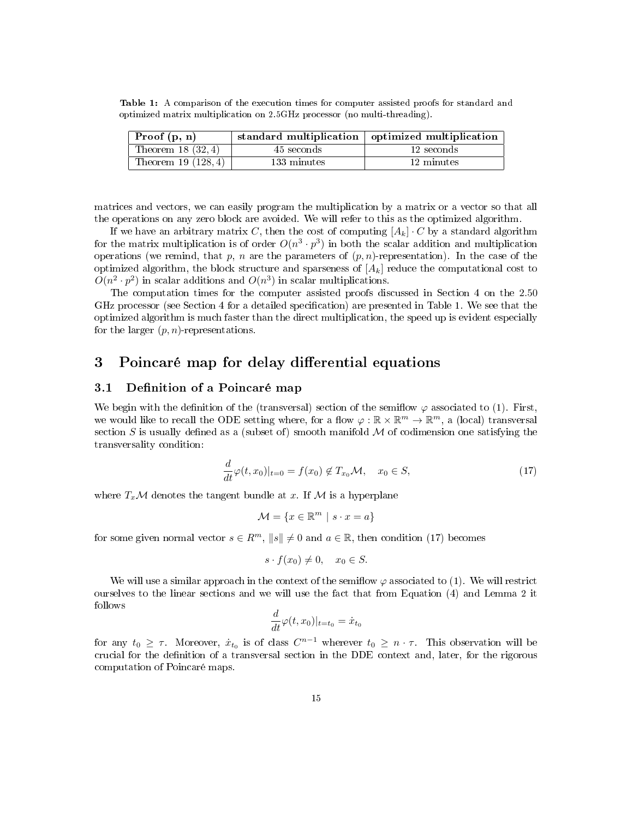Table 1: A comparison of the execution times for computer assisted proofs for standard and optimized matrix multiplication on 2.5GHz processor (no multi-threading).

| Proof $(p, n)$        |             | standard multiplication   optimized multiplication |
|-----------------------|-------------|----------------------------------------------------|
| Theorem 18 $(32, 4)$  | 45 seconds  | 12 seconds                                         |
| Theorem 19 $(128, 4)$ | 133 minutes | 12 minutes                                         |

matrices and vectors, we can easily program the multiplication by a matrix or a vector so that all the operations on any zero block are avoided. We will refer to this as the optimized algorithm.

If we have an arbitrary matrix C, then the cost of computing  $[A_k] \cdot C$  by a standard algorithm for the matrix multiplication is of order  $O(n^3 \cdot p^3)$  in both the scalar addition and multiplication operations (we remind, that p, n are the parameters of  $(p, n)$ -representation). In the case of the optimized algorithm, the block structure and sparseness of  $[A_k]$  reduce the computational cost to  $O(n^2 \cdot p^2)$  in scalar additions and  $O(n^3)$  in scalar multiplications.

The computation times for the computer assisted proofs discussed in Section 4 on the 2.50 GHz processor (see Section 4 for a detailed specification) are presented in Table 1. We see that the optimized algorithm is much faster than the direct multiplication, the speed up is evident especially for the larger  $(p, n)$ -representations.

# 3 Poincaré map for delay differential equations

## 3.1 Definition of a Poincaré map

We begin with the definition of the (transversal) section of the semiflow  $\varphi$  associated to (1). First, we would like to recall the ODE setting where, for a flow  $\varphi : \mathbb{R} \times \mathbb{R}^m \to \mathbb{R}^m$ , a (local) transversal section S is usually defined as a (subset of) smooth manifold  $M$  of codimension one satisfying the transversality condition:

$$
\frac{d}{dt}\varphi(t,x_0)|_{t=0} = f(x_0) \notin T_{x_0} \mathcal{M}, \quad x_0 \in S,
$$
\n(17)

where  $T_x\mathcal{M}$  denotes the tangent bundle at x. If  $\mathcal{M}$  is a hyperplane

$$
\mathcal{M} = \{ x \in \mathbb{R}^m \mid s \cdot x = a \}
$$

for some given normal vector  $s \in \mathbb{R}^m$ ,  $||s|| \neq 0$  and  $a \in \mathbb{R}$ , then condition (17) becomes

$$
s \cdot f(x_0) \neq 0, \quad x_0 \in S.
$$

We will use a similar approach in the context of the semiflow  $\varphi$  associated to (1). We will restrict ourselves to the linear sections and we will use the fact that from Equation (4) and Lemma 2 it follows

$$
\frac{d}{dt}\varphi(t,x_0)|_{t=t_0} = \dot{x}_{t_0}
$$

for any  $t_0 \geq \tau$ . Moreover,  $\dot{x}_{t_0}$  is of class  $C^{n-1}$  wherever  $t_0 \geq n \cdot \tau$ . This observation will be crucial for the denition of a transversal section in the DDE context and, later, for the rigorous computation of Poincaré maps.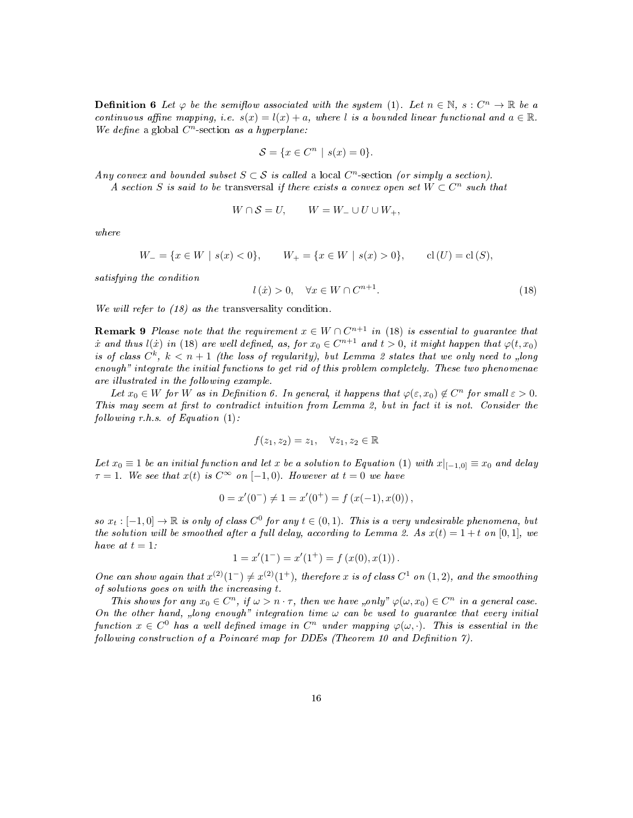**Definition 6** Let  $\varphi$  be the semiflow associated with the system (1). Let  $n \in \mathbb{N}$ ,  $s : C^n \to \mathbb{R}$  be a continuous affine mapping, i.e.  $s(x) = l(x) + a$ , where l is a bounded linear functional and  $a \in \mathbb{R}$ . We define a global  $C<sup>n</sup>$ -section as a hyperplane:

$$
\mathcal{S} = \{ x \in C^n \mid s(x) = 0 \}.
$$

Any convex and bounded subset  $S \subset S$  is called a local  $C<sup>n</sup>$ -section (or simply a section).

A section S is said to be transversal if there exists a convex open set  $W \subset C^n$  such that

$$
W \cap \mathcal{S} = U, \qquad W = W_- \cup U \cup W_+,
$$

where

$$
W_{-} = \{ x \in W \mid s(x) < 0 \}, \qquad W_{+} = \{ x \in W \mid s(x) > 0 \}, \qquad \text{cl}(U) = \text{cl}(S),
$$

satisfying the condition

$$
l(x) > 0, \quad \forall x \in W \cap C^{n+1}.
$$
\n
$$
(18)
$$

We will refer to (18) as the transversality condition.

**Remark 9** Please note that the requirement  $x \in W \cap C^{n+1}$  in (18) is essential to guarantee that  $\dot{x}$  and thus  $l(\dot{x})$  in (18) are well defined, as, for  $x_0 \in C^{n+1}$  and  $t > 0$ , it might happen that  $\varphi(t, x_0)$ is of class  $C^k$ ,  $k < n+1$  (the loss of regularity), but Lemma 2 states that we only need to "long enough" integrate the initial functions to get rid of this problem completely. These two phenomenae are illustrated in the following example.

Let  $x_0 \in W$  for W as in Definition 6. In general, it happens that  $\varphi(\varepsilon, x_0) \notin C^n$  for small  $\varepsilon > 0$ . This may seem at first to contradict intuition from Lemma 2, but in fact it is not. Consider the following  $r.h.s.$  of Equation  $(1)$ :

$$
f(z_1, z_2) = z_1, \quad \forall z_1, z_2 \in \mathbb{R}
$$

Let  $x_0 \equiv 1$  be an initial function and let x be a solution to Equation (1) with  $x|_{[-1,0]} \equiv x_0$  and delay  $\tau = 1$ . We see that  $x(t)$  is  $C^{\infty}$  on  $[-1,0)$ . However at  $t = 0$  we have

$$
0 = x'(0^-) \neq 1 = x'(0^+) = f(x(-1), x(0)),
$$

so  $x_t : [-1,0] \to \mathbb{R}$  is only of class  $C^0$  for any  $t \in (0,1)$ . This is a very undesirable phenomena, but the solution will be smoothed after a full delay, according to Lemma 2. As  $x(t) = 1 + t$  on [0,1], we have at  $t = 1$ :

$$
1 = x'(1^-) = x'(1^+) = f(x(0), x(1)).
$$

One can show again that  $x^{(2)}(1^-) \neq x^{(2)}(1^+)$ , therefore x is of class  $C^1$  on  $(1, 2)$ , and the smoothing of solutions goes on with the increasing t.

This shows for any  $x_0 \in C^n$ , if  $\omega > n \cdot \tau$ , then we have "only"  $\varphi(\omega, x_0) \in C^n$  in a general case. On the other hand, "long enough" integration time  $\omega$  can be used to guarantee that every initial function  $x \in C^0$  has a well defined image in  $C^n$  under mapping  $\varphi(\omega, \cdot)$ . This is essential in the following construction of a Poincaré map for DDEs (Theorem 10 and Definition 7).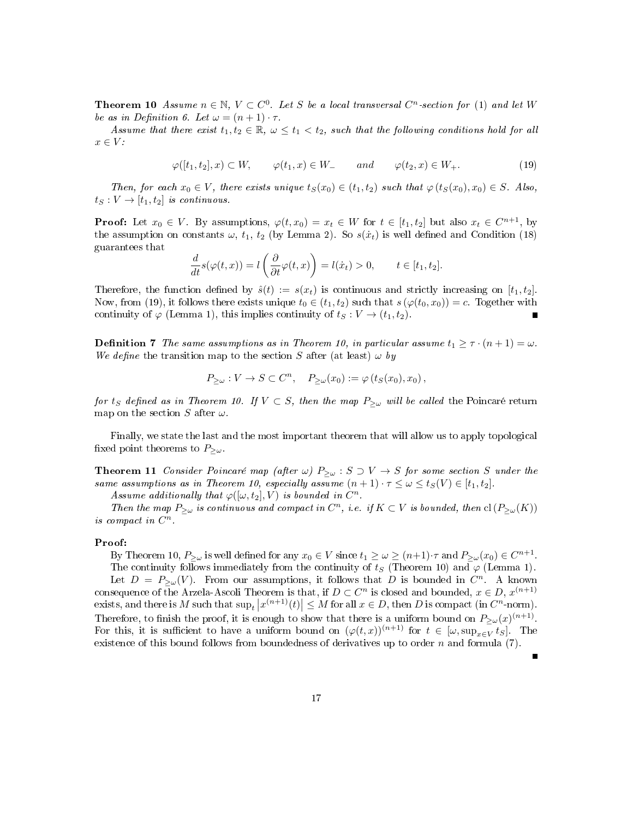**Theorem 10** Assume  $n \in \mathbb{N}$ ,  $V \subset C^0$ . Let S be a local transversal  $C^n$ -section for (1) and let W be as in Definition 6. Let  $\omega = (n+1) \cdot \tau$ .

Assume that there exist  $t_1, t_2 \in \mathbb{R}$ ,  $\omega \leq t_1 < t_2$ , such that the following conditions hold for all  $x \in V$ :

$$
\varphi([t_1, t_2], x) \subset W, \qquad \varphi(t_1, x) \in W_{-} \qquad and \qquad \varphi(t_2, x) \in W_{+}.
$$
 (19)

Then, for each  $x_0 \in V$ , there exists unique  $t_S(x_0) \in (t_1, t_2)$  such that  $\varphi(t_S(x_0), x_0) \in S$ . Also,  $t_S: V \to [t_1, t_2]$  is continuous.

**Proof:** Let  $x_0 \in V$ . By assumptions,  $\varphi(t, x_0) = x_t \in W$  for  $t \in [t_1, t_2]$  but also  $x_t \in C^{n+1}$ , by the assumption on constants  $\omega$ ,  $t_1$ ,  $t_2$  (by Lemma 2). So  $s(\dot{x}_t)$  is well defined and Condition (18) guarantees that

$$
\frac{d}{dt}s(\varphi(t,x)) = l\left(\frac{\partial}{\partial t}\varphi(t,x)\right) = l(\dot{x}_t) > 0, \qquad t \in [t_1, t_2].
$$

Therefore, the function defined by  $\hat{s}(t) := s(x_t)$  is continuous and strictly increasing on  $[t_1, t_2]$ . Now, from (19), it follows there exists unique  $t_0 \in (t_1, t_2)$  such that  $s(\varphi(t_0, x_0)) = c$ . Together with continuity of  $\varphi$  (Lemma 1), this implies continuity of  $t_S : V \to (t_1, t_2)$ .

**Definition 7** The same assumptions as in Theorem 10, in particular assume  $t_1 \geq \tau \cdot (n+1) = \omega$ . We define the transition map to the section S after (at least)  $\omega$  by

$$
P_{\geq \omega}: V \to S \subset C^n, \quad P_{\geq \omega}(x_0) := \varphi(t_S(x_0), x_0),
$$

for t<sub>S</sub> defined as in Theorem 10. If  $V \subset S$ , then the map  $P_{\geq \omega}$  will be called the Poincaré return map on the section S after  $\omega$ .

Finally, we state the last and the most important theorem that will allow us to apply topological fixed point theorems to  $P_{\geq \omega}$ .

**Theorem 11** Consider Poincaré map (after  $\omega$ )  $P_{\geq \omega}$  :  $S \supset V \rightarrow S$  for some section S under the same assumptions as in Theorem 10, especially assume  $(n + 1) \cdot \tau \leq \omega \leq t_S(V) \in [t_1, t_2]$ .

Assume additionally that  $\varphi([\omega, t_2], V)$  is bounded in  $C^n$ .

Then the map  $P_{\geq \omega}$  is continuous and compact in  $C^n$ , i.e. if  $K \subset V$  is bounded, then  $\text{cl}(P_{\geq \omega}(K))$ is compact in  $C^n$ .

#### Proof:

By Theorem 10,  $P_{\geq \omega}$  is well defined for any  $x_0 \in V$  since  $t_1 \geq \omega \geq (n+1) \cdot \tau$  and  $P_{\geq \omega}(x_0) \in C^{n+1}$ . The continuity follows immediately from the continuity of  $t_S$  (Theorem 10) and  $\varphi$  (Lemma 1).

Let  $D = P_{\geq \omega}(V)$ . From our assumptions, it follows that D is bounded in  $C^n$ . A known consequence of the Arzela-Ascoli Theorem is that, if  $D \subset C^n$  is closed and bounded,  $x \in D$ ,  $x^{(n+1)}$ exists, and there is M such that  $\sup_t |x^{(n+1)}(t)| \leq M$  for all  $x \in D$ , then D is compact (in  $C^n$ -norm). Therefore, to finish the proof, it is enough to show that there is a uniform bound on  $P_{\geq \omega}(x)^{(n+1)}$ . For this, it is sufficient to have a uniform bound on  $(\varphi(t,x))^{(n+1)}$  for  $t \in [\omega, \sup_{x \in V} t_S]$ . The existence of this bound follows from boundedness of derivatives up to order n and formula  $(7)$ .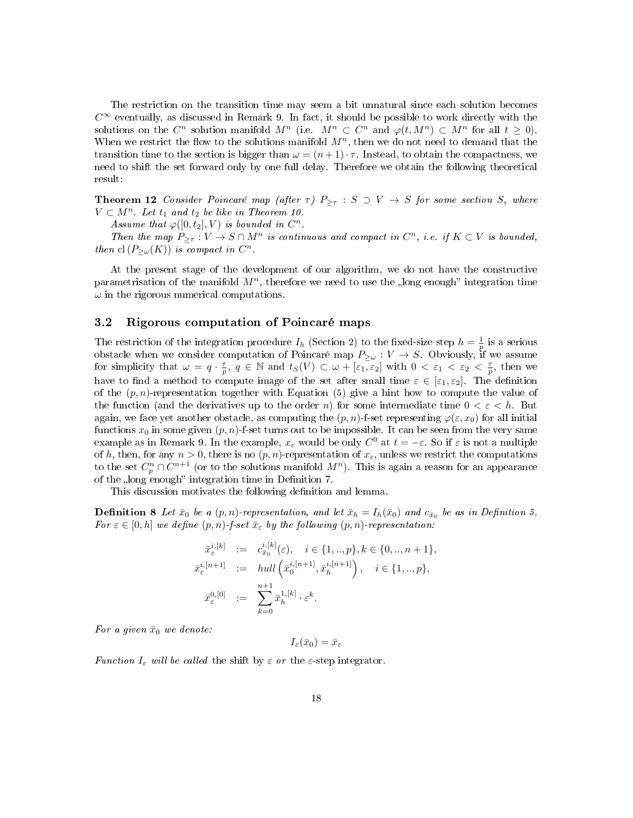The restriction on the transition time may seem a bit unnatural since each solution becomes  $C^{\infty}$  eventually, as discussed in Remark 9. In fact, it should be possible to work directly with the solutions on the  $C^n$  solution manifold  $M^n$  (i.e.  $M^n \subset C^n$  and  $\varphi(t, M^n) \subset M^n$  for all  $t \geq 0$ ). When we restrict the flow to the solutions manifold  $M<sup>n</sup>$ , then we do not need to demand that the transition time to the section is bigger than  $\omega = (n+1)\cdot\tau$ . Instead, to obtain the compactness, we need to shift the set forward only by one full delay. Therefore we obtain the following theoretical result:

**Theorem 12** Consider Poincaré map (after  $\tau$ )  $P_{\geq \tau}$  :  $S \supset V \rightarrow S$  for some section S, where  $V \subset M^n$ . Let  $t_1$  and  $t_2$  be like in Theorem 10.

Assume that  $\varphi([0,t_2],V)$  is bounded in  $C^n$ .

Then the map  $P_{\geq \tau}: V \to S \cap M^n$  is continuous and compact in  $C^n$ , i.e. if  $K \subset V$  is bounded, then  $\text{cl}(P_{\geq \omega}(K))$  is compact in  $C^n$ .

At the present stage of the development of our algorithm, we do not have the constructive parametrisation of the manifold  $M<sup>n</sup>$ , therefore we need to use the long enough integration time  $\omega$  in the rigorous numerical computations.

### 3.2 Rigorous computation of Poincaré maps

The restriction of the integration procedure  $I_h$  (Section 2) to the fixed-size step  $h = \frac{1}{p}$  is a serious obstacle when we consider computation of Poincaré map  $P_{\geq \omega}: V \to S$ . Obviously, if we assume for simplicity that  $\omega = q \cdot \frac{\tau}{p}$ ,  $q \in \mathbb{N}$  and  $t_S(V) \subset \omega + [\overline{\varepsilon_1}, \overline{\varepsilon_2}]$  with  $0 < \varepsilon_1 < \varepsilon_2 < \frac{\tau}{p}$ , then we have to find a method to compute image of the set after small time  $\varepsilon \in [\varepsilon_1, \varepsilon_2]$ . The definition of the  $(p, n)$ -representation together with Equation (5) give a hint how to compute the value of the function (and the derivatives up to the order n) for some intermediate time  $0 < \varepsilon < h$ . But again, we face yet another obstacle, as computing the  $(p, n)$ -f-set representing  $\varphi(\varepsilon, x_0)$  for all initial functions  $x_0$  in some given  $(p, n)$ -f-set turns out to be impossible. It can be seen from the very same example as in Remark 9. In the example,  $x_\varepsilon$  would be only  $C^0$  at  $t = -\varepsilon$ . So if  $\varepsilon$  is not a multiple of h, then, for any  $n > 0$ , there is no  $(p, n)$ -representation of  $x_{\varepsilon}$ , unless we restrict the computations to the set  $C_p^n \cap C^{n+1}$  (or to the solutions manifold  $M^n$ ). This is again a reason for an appearance of the "long enough" integration time in Definition 7.

This discussion motivates the following definition and lemma.

**Definition 8** Let  $\bar{x}_0$  be a  $(p, n)$ -representation, and let  $\bar{x}_h = I_h(\bar{x}_0)$  and  $c_{\bar{x}_0}$  be as in Definition 5. For  $\varepsilon \in [0, h]$  we define  $(p, n)$ -f-set  $\bar{x}_{\varepsilon}$  by the following  $(p, n)$ -representation:

$$
\begin{array}{rcl}\n\bar{x}_{\varepsilon}^{i,[k]} & := & c_{x_0}^{i,[k]}(\varepsilon), \quad i \in \{1,..,p\}, k \in \{0,..,n+1\}, \\
\bar{x}_{\varepsilon}^{i,[n+1]} & := & hull\left(\bar{x}_0^{i,[n+1]}, \bar{x}_h^{i,[n+1]}\right), \quad i \in \{1,..,p\}, \\
\bar{x}_{\varepsilon}^{0,[0]} & := & \sum_{k=0}^{n+1} \bar{x}_h^{1,[k]} \cdot \varepsilon^k.\n\end{array}
$$

For a given  $\bar{x}_0$  we denote:

 $I_{\varepsilon}(\bar{x}_0) = \bar{x}_{\varepsilon}$ 

Function  $I_{\varepsilon}$  will be called the shift by  $\varepsilon$  or the  $\varepsilon$ -step integrator.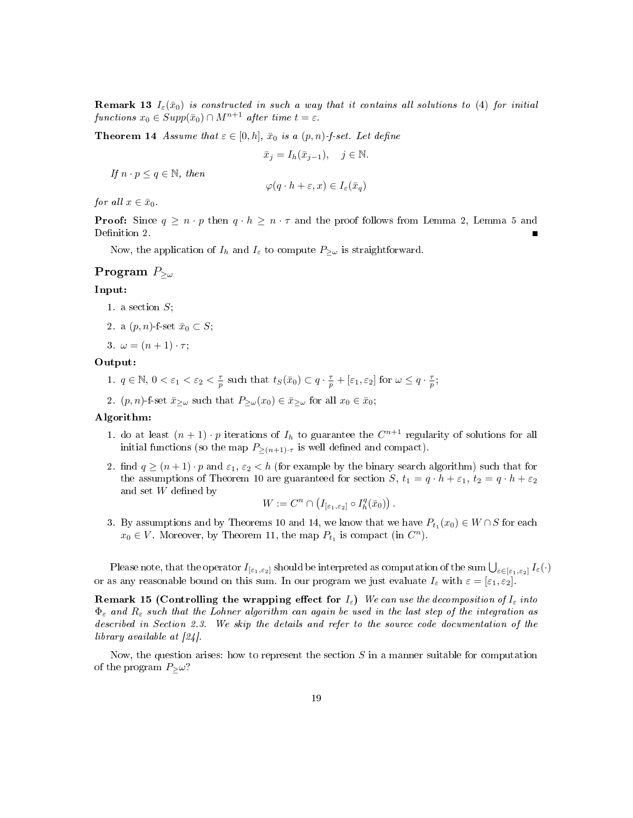**Remark 13**  $I_{\varepsilon}(\bar{x}_0)$  is constructed in such a way that it contains all solutions to (4) for initial functions  $x_0 \in Supp(\bar{x}_0) \cap M^{n+1}$  after time  $t = \varepsilon$ .

**Theorem 14** Assume that  $\varepsilon \in [0, h]$ ,  $\bar{x}_0$  is a  $(p, n)$ -f-set. Let define

$$
\bar{x}_j = I_h(\bar{x}_{j-1}), \quad j \in \mathbb{N}.
$$

If  $n \cdot p \leq q \in \mathbb{N}$ , then

$$
\varphi(q \cdot h + \varepsilon, x) \in I_{\varepsilon}(\bar{x}_q)
$$

for all  $x \in \bar{x}_0$ .

**Proof:** Since  $q \geq n \cdot p$  then  $q \cdot h \geq n \cdot \tau$  and the proof follows from Lemma 2, Lemma 5 and Definition 2.

Now, the application of  $I_h$  and  $I_\varepsilon$  to compute  $P_{\geq \omega}$  is straightforward.

# Program  $P_{\geq \omega}$

# Input:

- 1. a section  $S$ ;
- 2. a  $(p, n)$ -f-set  $\bar{x}_0 \subset S$ ;
- 3.  $\omega = (n+1) \cdot \tau;$

#### Output:

- 1.  $q \in \mathbb{N}, 0 < \varepsilon_1 < \varepsilon_2 < \frac{\tau}{p}$  such that  $t_S(\bar{x}_0) \subset q \cdot \frac{\tau}{p} + [\varepsilon_1, \varepsilon_2]$  for  $\omega \leq q \cdot \frac{\tau}{p}$ ;
- 2.  $(p, n)$ -f-set  $\bar{x}_{\geq \omega}$  such that  $P_{\geq \omega}(x_0) \in \bar{x}_{\geq \omega}$  for all  $x_0 \in \bar{x}_0$ ;

#### Algorithm:

- 1. do at least  $(n+1) \cdot p$  iterations of  $I_h$  to guarantee the  $C^{n+1}$  regularity of solutions for all initial functions (so the map  $P_{\geq (n+1)\cdot \tau}$  is well defined and compact).
- 2. find  $q \ge (n+1) \cdot p$  and  $\varepsilon_1, \varepsilon_2 < h$  (for example by the binary search algorithm) such that for the assumptions of Theorem 10 are guaranteed for section S,  $t_1 = q \cdot h + \varepsilon_1$ ,  $t_2 = q \cdot h + \varepsilon_2$ and set  $W$  defined by

$$
W := C^n \cap \left( I_{[\varepsilon_1, \varepsilon_2]} \circ I_h^q(\bar{x}_0) \right).
$$

3. By assumptions and by Theorems 10 and 14, we know that we have  $P_{t_1}(x_0) \in W \cap S$  for each  $x_0 \in V$ . Moreover, by Theorem 11, the map  $P_{t_1}$  is compact (in  $C^n$ ).

Please note, that the operator  $I_{[\varepsilon_1,\varepsilon_2]}$  should be interpreted as computation of the sum  $\bigcup_{\varepsilon\in[\varepsilon_1,\varepsilon_2]}I_\varepsilon(\cdot)$ or as any reasonable bound on this sum. In our program we just evaluate  $I_{\varepsilon}$  with  $\varepsilon = [\varepsilon_1, \varepsilon_2]$ .

Remark 15 (Controlling the wrapping effect for  $I_{\varepsilon}$ ) We can use the decomposition of  $I_{\varepsilon}$  into  $\Phi_{\varepsilon}$  and  $R_{\varepsilon}$  such that the Lohner algorithm can again be used in the last step of the integration as described in Section 2.3. We skip the details and refer to the source code documentation of the library available at [24].

Now, the question arises: how to represent the section  $S$  in a manner suitable for computation of the program  $P_{>}\omega$ ?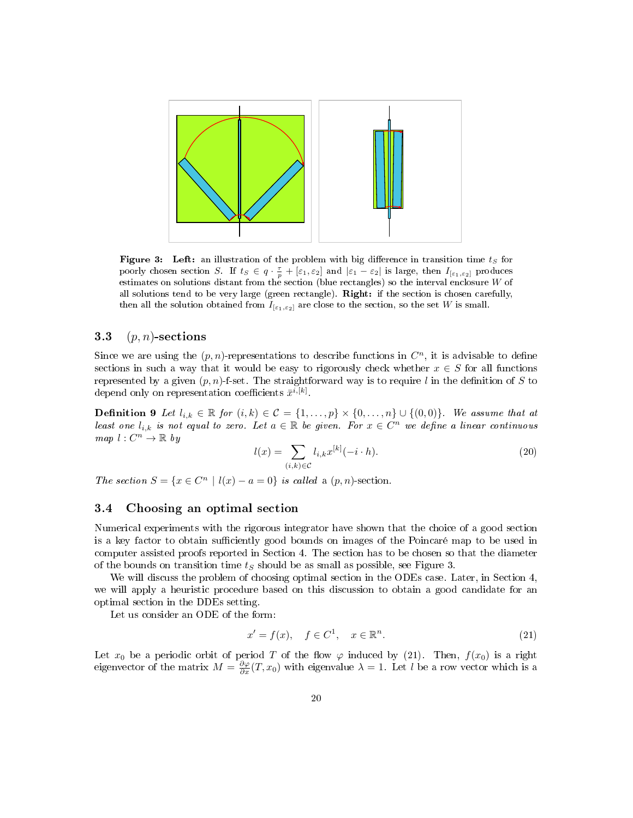

Figure 3: Left: an illustration of the problem with big difference in transition time  $t_S$  for poorly chosen section S. If  $t_S \in q \cdot \frac{\tau}{p} + [\varepsilon_1, \varepsilon_2]$  and  $|\varepsilon_1 - \varepsilon_2|$  is large, then  $I_{[\varepsilon_1, \varepsilon_2]}$  produces estimates on solutions distant from the section (blue rectangles) so the interval enclosure  $W$  of all solutions tend to be very large (green rectangle). Right: if the section is chosen carefully, then all the solution obtained from  $I_{[\varepsilon_1,\varepsilon_2]}$  are close to the section, so the set W is small.

### 3.3  $(p, n)$ -sections

Since we are using the  $(p, n)$ -representations to describe functions in  $C<sup>n</sup>$ , it is advisable to define sections in such a way that it would be easy to rigorously check whether  $x \in S$  for all functions represented by a given  $(p, n)$ -f-set. The straightforward way is to require l in the definition of S to depend only on representation coefficients  $\bar{x}^{i,[k]}$ .

**Definition 9** Let  $l_{i,k} \in \mathbb{R}$  for  $(i,k) \in \mathcal{C} = \{1,\ldots,p\} \times \{0,\ldots,n\} \cup \{(0,0)\}.$  We assume that at least one  $l_{i,k}$  is not equal to zero. Let  $a \in \mathbb{R}$  be given. For  $x \in C^n$  we define a linear continuous  $map \, l : C^n \to \mathbb{R}$  by

$$
l(x) = \sum_{(i,k)\in\mathcal{C}} l_{i,k} x^{[k]}(-i \cdot h). \tag{20}
$$

The section  $S = \{x \in C^n \mid l(x) - a = 0\}$  is called a  $(p, n)$ -section.

### 3.4 Choosing an optimal section

Numerical experiments with the rigorous integrator have shown that the choice of a good section is a key factor to obtain sufficiently good bounds on images of the Poincaré map to be used in computer assisted proofs reported in Section 4. The section has to be chosen so that the diameter of the bounds on transition time  $t<sub>S</sub>$  should be as small as possible, see Figure 3.

We will discuss the problem of choosing optimal section in the ODEs case. Later, in Section 4, we will apply a heuristic procedure based on this discussion to obtain a good candidate for an optimal section in the DDEs setting.

Let us consider an ODE of the form:

$$
x' = f(x), \quad f \in C^1, \quad x \in \mathbb{R}^n. \tag{21}
$$

Let  $x_0$  be a periodic orbit of period T of the flow  $\varphi$  induced by (21). Then,  $f(x_0)$  is a right eigenvector of the matrix  $M = \frac{\partial \varphi}{\partial x}(T, x_0)$  with eigenvalue  $\lambda = 1$ . Let l be a row vector which is a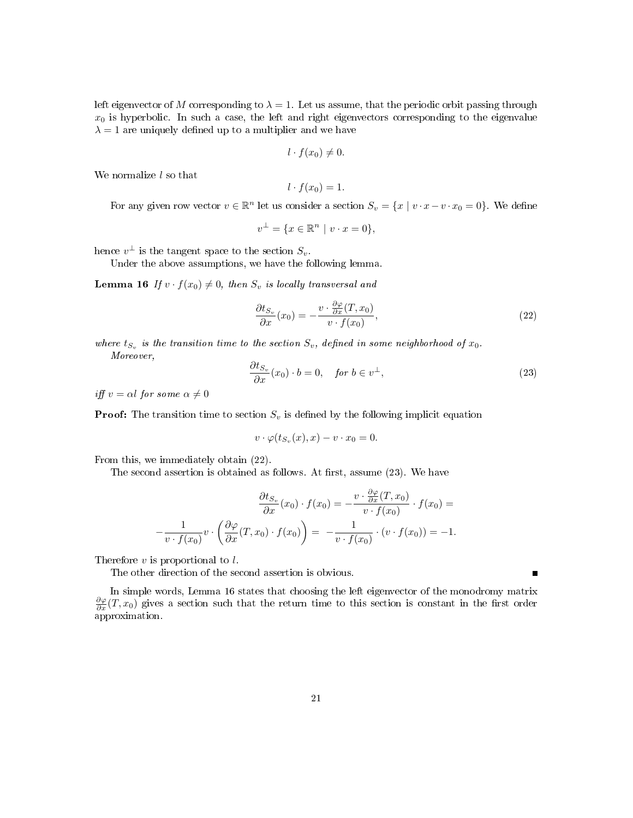left eigenvector of M corresponding to  $\lambda = 1$ . Let us assume, that the periodic orbit passing through  $x_0$  is hyperbolic. In such a case, the left and right eigenvectors corresponding to the eigenvalue  $\lambda = 1$  are uniquely defined up to a multiplier and we have

$$
l \cdot f(x_0) \neq 0.
$$

We normalize  $l$  so that

$$
l \cdot f(x_0) = 1.
$$

For any given row vector  $v \in \mathbb{R}^n$  let us consider a section  $S_v = \{x \mid v \cdot x - v \cdot x_0 = 0\}$ . We define

$$
v^{\perp} = \{ x \in \mathbb{R}^n \mid v \cdot x = 0 \},
$$

hence  $v^{\perp}$  is the tangent space to the section  $S_v$ .

Under the above assumptions, we have the following lemma.

**Lemma 16** If  $v \cdot f(x_0) \neq 0$ , then  $S_v$  is locally transversal and

$$
\frac{\partial t_{S_v}}{\partial x}(x_0) = -\frac{v \cdot \frac{\partial \varphi}{\partial x}(T, x_0)}{v \cdot f(x_0)},\tag{22}
$$

where  $t_{S_v}$  is the transition time to the section  $S_v$ , defined in some neighborhood of  $x_0$ . Moreover,

$$
\frac{\partial t_{S_v}}{\partial x}(x_0) \cdot b = 0, \quad \text{for } b \in v^{\perp}, \tag{23}
$$

Г

iff  $v = \alpha l$  for some  $\alpha \neq 0$ 

**Proof:** The transition time to section  $S_v$  is defined by the following implicit equation

$$
v \cdot \varphi(t_{S_v}(x), x) - v \cdot x_0 = 0.
$$

From this, we immediately obtain (22).

The second assertion is obtained as follows. At first, assume  $(23)$ . We have

$$
\frac{\partial t_{S_v}}{\partial x}(x_0) \cdot f(x_0) = -\frac{v \cdot \frac{\partial \varphi}{\partial x}(T, x_0)}{v \cdot f(x_0)} \cdot f(x_0) = -\frac{1}{v \cdot f(x_0)} v \cdot \left(\frac{\partial \varphi}{\partial x}(T, x_0) \cdot f(x_0)\right) = -\frac{1}{v \cdot f(x_0)} \cdot (v \cdot f(x_0)) = -1.
$$

Therefore  $v$  is proportional to  $l$ .

The other direction of the second assertion is obvious.

In simple words, Lemma 16 states that choosing the left eigenvector of the monodromy matrix  $\frac{\partial \varphi}{\partial x}(T, x_0)$  gives a section such that the return time to this section is constant in the first order approximation.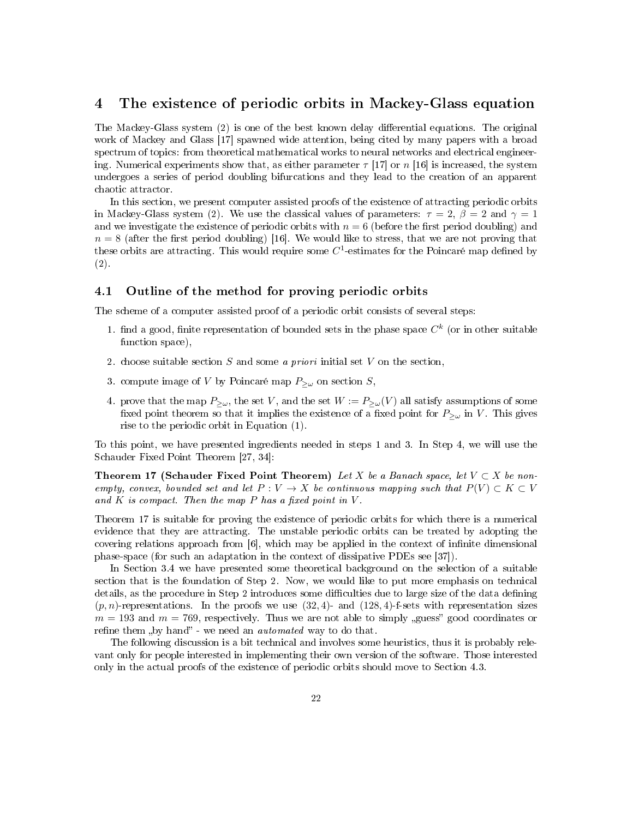# 4 The existence of periodic orbits in Mackey-Glass equation

The Mackey-Glass system (2) is one of the best known delay differential equations. The original work of Mackey and Glass [17] spawned wide attention, being cited by many papers with a broad spectrum of topics: from theoretical mathematical works to neural networks and electrical engineering. Numerical experiments show that, as either parameter  $\tau$  [17] or n [16] is increased, the system undergoes a series of period doubling bifurcations and they lead to the creation of an apparent chaotic attractor.

In this section, we present computer assisted proofs of the existence of attracting periodic orbits in Mackey-Glass system (2). We use the classical values of parameters:  $\tau = 2$ ,  $\beta = 2$  and  $\gamma = 1$ and we investigate the existence of periodic orbits with  $n = 6$  (before the first period doubling) and  $n = 8$  (after the first period doubling) [16]. We would like to stress, that we are not proving that these orbits are attracting. This would require some  $C^1$ -estimates for the Poincaré map defined by (2).

#### 4.1 Outline of the method for proving periodic orbits

The scheme of a computer assisted proof of a periodic orbit consists of several steps:

- 1. find a good, finite representation of bounded sets in the phase space  $C^k$  (or in other suitable function space),
- 2. choose suitable section S and some a priori initial set V on the section,
- 3. compute image of V by Poincaré map  $P_{\geq \omega}$  on section S,
- 4. prove that the map  $P_{\geq \omega}$ , the set V, and the set  $W := P_{\geq \omega}(V)$  all satisfy assumptions of some fixed point theorem so that it implies the existence of a fixed point for  $P_{\geq \omega}$  in V. This gives rise to the periodic orbit in Equation (1).

To this point, we have presented ingredients needed in steps 1 and 3. In Step 4, we will use the Schauder Fixed Point Theorem [27, 34]:

Theorem 17 (Schauder Fixed Point Theorem) Let X be a Banach space, let  $V \subset X$  be nonempty, convex, bounded set and let  $P: V \to X$  be continuous mapping such that  $P(V) \subset K \subset V$ and  $K$  is compact. Then the map  $P$  has a fixed point in  $V$ .

Theorem 17 is suitable for proving the existence of periodic orbits for which there is a numerical evidence that they are attracting. The unstable periodic orbits can be treated by adopting the covering relations approach from  $[6]$ , which may be applied in the context of infinite dimensional phase-space (for such an adaptation in the context of dissipative PDEs see [37]).

In Section 3.4 we have presented some theoretical background on the selection of a suitable section that is the foundation of Step 2. Now, we would like to put more emphasis on technical details, as the procedure in Step 2 introduces some difficulties due to large size of the data defining  $(p, n)$ -representations. In the proofs we use  $(32, 4)$ - and  $(128, 4)$ -f-sets with representation sizes  $m = 193$  and  $m = 769$ , respectively. Thus we are not able to simply guess" good coordinates or refine them "by hand" - we need an *automated* way to do that.

The following discussion is a bit technical and involves some heuristics, thus it is probably relevant only for people interested in implementing their own version of the software. Those interested only in the actual proofs of the existence of periodic orbits should move to Section 4.3.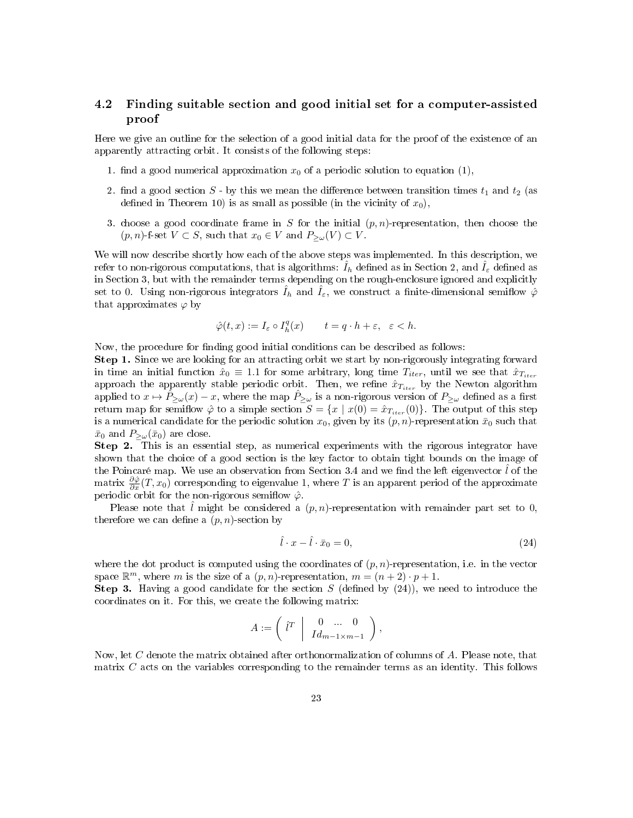# 4.2 Finding suitable section and good initial set for a computer-assisted proof

Here we give an outline for the selection of a good initial data for the proof of the existence of an apparently attracting orbit. It consists of the following steps:

- 1. find a good numerical approximation  $x_0$  of a periodic solution to equation (1),
- 2. find a good section S by this we mean the difference between transition times  $t_1$  and  $t_2$  (as defined in Theorem 10) is as small as possible (in the vicinity of  $x_0$ ),
- 3. choose a good coordinate frame in S for the initial  $(p, n)$ -representation, then choose the  $(p, n)$ -f-set  $V \subset S$ , such that  $x_0 \in V$  and  $P_{\geq \omega}(V) \subset V$ .

We will now describe shortly how each of the above steps was implemented. In this description, we refer to non-rigorous computations, that is algorithms:  $\hat{I}_h$  defined as in Section 2, and  $\hat{I}_\varepsilon$  defined as in Section 3, but with the remainder terms depending on the rough-enclosure ignored and explicitly set to 0. Using non-rigorous integrators  $\hat{I}_h$  and  $\hat{I}_\varepsilon$ , we construct a finite-dimensional semiflow  $\hat{\varphi}$ that approximates  $\varphi$  by

$$
\hat{\varphi}(t,x) := I_{\varepsilon} \circ I_h^q(x) \qquad t = q \cdot h + \varepsilon, \ \ \varepsilon < h.
$$

Now, the procedure for finding good initial conditions can be described as follows:

Step 1. Since we are looking for an attracting orbit we start by non-rigorously integrating forward in time an initial function  $\hat{x}_0 \equiv 1.1$  for some arbitrary, long time  $T_{iter}$ , until we see that  $\hat{x}_{T_{iter}}$ approach the apparently stable periodic orbit. Then, we refine  $\hat{x}_{T_{iter}}$  by the Newton algorithm applied to  $x \mapsto \hat{P}_{\geq \omega}(x) - x$ , where the map  $\hat{P}_{\geq \omega}$  is a non-rigorous version of  $P_{\geq \omega}$  defined as a first return map for semiflow  $\hat{\varphi}$  to a simple section  $S = \{x \mid x(0) = \hat{x}_{T_{iter}}(0)\}$ . The output of this step is a numerical candidate for the periodic solution  $x_0$ , given by its  $(p, n)$ -representation  $\bar{x}_0$  such that  $\bar{x}_0$  and  $P_{>\omega}(\bar{x}_0)$  are close.

Step 2. This is an essential step, as numerical experiments with the rigorous integrator have shown that the choice of a good section is the key factor to obtain tight bounds on the image of the Poincaré map. We use an observation from Section 3.4 and we find the left eigenvector  $\hat{l}$  of the matrix  $\frac{\partial \hat{\varphi}}{\partial x}(T, x_0)$  corresponding to eigenvalue 1, where T is an apparent period of the approximate periodic orbit for the non-rigorous semiflow  $\hat{\varphi}$ .

Please note that l might be considered a  $(p, n)$ -representation with remainder part set to 0, therefore we can define a  $(p, n)$ -section by

$$
\hat{l} \cdot x - \hat{l} \cdot \bar{x}_0 = 0,\tag{24}
$$

where the dot product is computed using the coordinates of  $(p, n)$ -representation, i.e. in the vector space  $\mathbb{R}^m$ , where m is the size of a  $(p, n)$ -representation,  $m = (n + 2) \cdot p + 1$ .

**Step 3.** Having a good candidate for the section S (defined by  $(24)$ ), we need to introduce the coordinates on it. For this, we create the following matrix:

$$
A := \left( \begin{array}{c|c} \hat{l}^T & 0 & \dots & 0 \\ \hline I d_{m-1 \times m-1} & \end{array} \right),
$$

Now, let C denote the matrix obtained after orthonormalization of columns of A. Please note, that matrix C acts on the variables corresponding to the remainder terms as an identity. This follows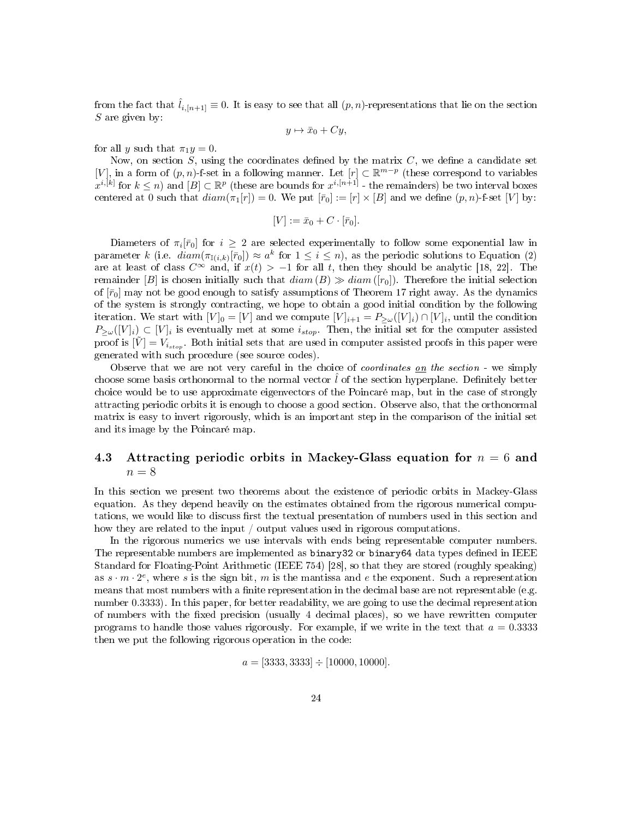from the fact that  $\hat{l}_{i,[n+1]} \equiv 0$ . It is easy to see that all  $(p, n)$ -representations that lie on the section  $S$  are given by:

$$
y \mapsto \bar{x}_0 + Cy,
$$

for all y such that  $\pi_1 y = 0$ .

Now, on section  $S$ , using the coordinates defined by the matrix  $C$ , we define a candidate set [V], in a form of  $(p, n)$ -f-set in a following manner. Let  $[r] \subset \mathbb{R}^{m-p}$  (these correspond to variables  $x^{i,[k]}$  for  $k \leq n$ ) and  $[B] \subset \mathbb{R}^p$  (these are bounds for  $x^{i,[n+1]}$  - the remainders) be two interval boxes centered at 0 such that  $diam(\pi_1[r]) = 0$ . We put  $[\bar{r}_0] := [r] \times [B]$  and we define  $(p, n)$ -f-set  $[V]$  by:

$$
[V] := \bar{x}_0 + C \cdot [\bar{r}_0].
$$

Diameters of  $\pi_i[\bar{r}_0]$  for  $i \geq 2$  are selected experimentally to follow some exponential law in parameter k (i.e.  $diam(\pi_{\mathbb{I}(i,k)}[\bar{r}_0]) \approx a^k$  for  $1 \leq i \leq n$ ), as the periodic solutions to Equation (2) are at least of class  $C^{\infty}$  and, if  $x(t) > -1$  for all t, then they should be analytic [18, 22]. The remainder [B] is chosen initially such that  $diam(B) \gg diam([r_0])$ . Therefore the initial selection of  $\bar{r}_0$  may not be good enough to satisfy assumptions of Theorem 17 right away. As the dynamics of the system is strongly contracting, we hope to obtain a good initial condition by the following iteration. We start with  $[V]_0 = [V]$  and we compute  $[V]_{i+1} = P_{\geq \omega}([V]_i) \cap [V]_i$ , until the condition  $P_{\geq\omega}(V|_i)\subset [V]_i$  is eventually met at some  $i_{stop}$ . Then, the initial set for the computer assisted proof is  $[\tilde{V}] = V_{i_{stop}}$ . Both initial sets that are used in computer assisted proofs in this paper were generated with such procedure (see source codes).

Observe that we are not very careful in the choice of coordinates on the section - we simply choose some basis orthonormal to the normal vector  $\hat{l}$  of the section hyperplane. Definitely better choice would be to use approximate eigenvectors of the Poincaré map, but in the case of strongly attracting periodic orbits it is enough to choose a good section. Observe also, that the orthonormal matrix is easy to invert rigorously, which is an important step in the comparison of the initial set and its image by the Poincaré map.

# 4.3 Attracting periodic orbits in Mackey-Glass equation for  $n = 6$  and  $n = 8$

In this section we present two theorems about the existence of periodic orbits in Mackey-Glass equation. As they depend heavily on the estimates obtained from the rigorous numerical computations, we would like to discuss first the textual presentation of numbers used in this section and how they are related to the input / output values used in rigorous computations.

In the rigorous numerics we use intervals with ends being representable computer numbers. The representable numbers are implemented as binary32 or binary64 data types defined in IEEE Standard for Floating-Point Arithmetic (IEEE 754) [28], so that they are stored (roughly speaking) as  $s \cdot m \cdot 2^e$ , where s is the sign bit, m is the mantissa and e the exponent. Such a representation means that most numbers with a finite representation in the decimal base are not representable (e.g. number 0.3333). In this paper, for better readability, we are going to use the decimal representation of numbers with the fixed precision (usually 4 decimal places), so we have rewritten computer programs to handle those values rigorously. For example, if we write in the text that  $a = 0.3333$ then we put the following rigorous operation in the code:

$$
a = [3333, 3333] \div [10000, 10000].
$$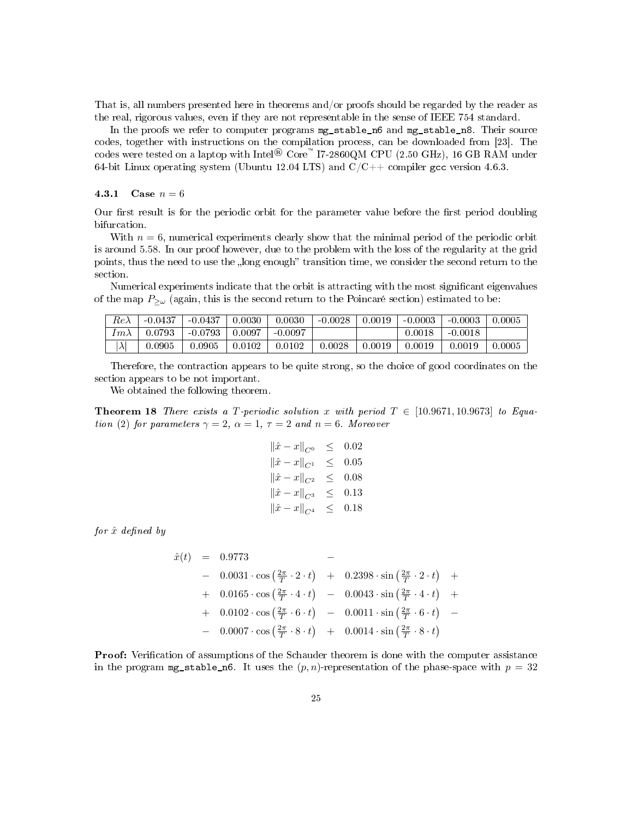That is, all numbers presented here in theorems and/or proofs should be regarded by the reader as the real, rigorous values, even if they are not representable in the sense of IEEE 754 standard.

In the proofs we refer to computer programs mg\_stable\_n6 and mg\_stable\_n8. Their source codes, together with instructions on the compilation process, can be downloaded from [23]. The codes were tested on a laptop with Intel<sup>®</sup> Core<sup>™</sup> I7-2860QM CPU (2.50 GHz), 16 GB RAM under 64-bit Linux operating system (Ubuntu 12.04 LTS) and  $C/C++$  compiler gcc version 4.6.3.

#### 4.3.1 Case  $n = 6$

Our first result is for the periodic orbit for the parameter value before the first period doubling bifurcation.

With  $n = 6$ , numerical experiments clearly show that the minimal period of the periodic orbit is around 5.58. In our proof however, due to the problem with the loss of the regularity at the grid points, thus the need to use the "long enough" transition time, we consider the second return to the section.

Numerical experiments indicate that the orbit is attracting with the most significant eigenvalues of the map  $P_{\geq \omega}$  (again, this is the second return to the Poincaré section) estimated to be:

| $Re\lambda$       | $-0.0437$    | $-0.0437$  | 0.0030 | 0.0030    | $-0.0028$ | 0.0019 | $-0.0003$  | $-0.0003$ | 0.0005       |
|-------------------|--------------|------------|--------|-----------|-----------|--------|------------|-----------|--------------|
| $\tau_{m\lambda}$ | 0.0793       | $-0.0793$  | 0.0097 | $-0.0097$ |           |        | $0.0018\,$ | $-0.0018$ |              |
| $\lambda$ '       | $\,0.0905\,$ | $0.0905\,$ | 0.0102 | 0.0102    | 0.0028    | 0.0019 | 0.0019     | 0.0019    | $\,0.0005\,$ |

Therefore, the contraction appears to be quite strong, so the choice of good coordinates on the section appears to be not important.

We obtained the following theorem.

**Theorem 18** There exists a T-periodic solution x with period  $T \in [10.9671, 10.9673]$  to Equation (2) for parameters  $\gamma = 2$ ,  $\alpha = 1$ ,  $\tau = 2$  and  $n = 6$ . Moreover

$$
\|\hat{x} - x\|_{C^0} \le 0.02
$$
  

$$
\|\hat{x} - x\|_{C^1} \le 0.05
$$
  

$$
\|\hat{x} - x\|_{C^2} \le 0.08
$$
  

$$
\|\hat{x} - x\|_{C^3} \le 0.13
$$
  

$$
\|\hat{x} - x\|_{C^4} \le 0.18
$$

for  $\hat{x}$  defined by

$$
\hat{x}(t) = 0.9773 - 0.0031 \cdot \cos\left(\frac{2\pi}{T} \cdot 2 \cdot t\right) + 0.2398 \cdot \sin\left(\frac{2\pi}{T} \cdot 2 \cdot t\right) + 0.0165 \cdot \cos\left(\frac{2\pi}{T} \cdot 4 \cdot t\right) - 0.0043 \cdot \sin\left(\frac{2\pi}{T} \cdot 4 \cdot t\right) + 0.0102 \cdot \cos\left(\frac{2\pi}{T} \cdot 6 \cdot t\right) - 0.0011 \cdot \sin\left(\frac{2\pi}{T} \cdot 6 \cdot t\right) - 0.0007 \cdot \cos\left(\frac{2\pi}{T} \cdot 8 \cdot t\right) + 0.0014 \cdot \sin\left(\frac{2\pi}{T} \cdot 8 \cdot t\right)
$$

**Proof:** Verification of assumptions of the Schauder theorem is done with the computer assistance in the program  $mg$ -stable n6. It uses the  $(p, n)$ -representation of the phase-space with  $p = 32$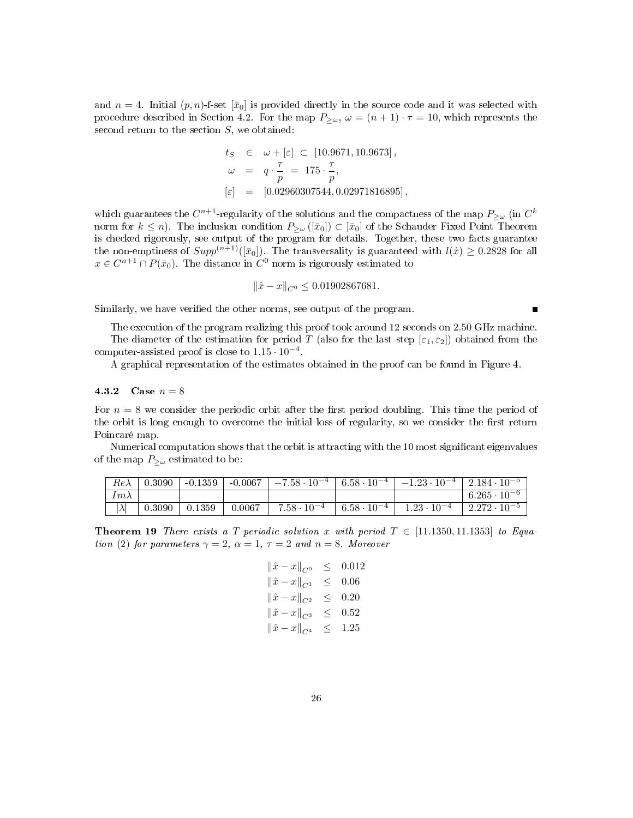and  $n = 4$ . Initial  $(p, n)$ -f-set  $[\bar{x}_0]$  is provided directly in the source code and it was selected with procedure described in Section 4.2. For the map  $P_{\geq \omega}$ ,  $\omega = (n+1) \cdot \tau = 10$ , which represents the second return to the section  $S$ , we obtained:

$$
t_S \in \omega + [\varepsilon] \subset [10.9671, 10.9673],
$$
  
\n
$$
\omega = q \cdot \frac{\tau}{p} = 175 \cdot \frac{\tau}{p},
$$
  
\n
$$
[\varepsilon] = [0.02960307544, 0.02971816895],
$$

which guarantees the  $C^{n+1}$ -regularity of the solutions and the compactness of the map  $P_{\geq\omega}$  (in  $C^k$ norm for  $k \leq n$ ). The inclusion condition  $P_{\geq \omega}([\bar{x}_0]) \subset [\bar{x}_0]$  of the Schauder Fixed Point Theorem is checked rigorously, see output of the program for details. Together, these two facts guarantee the non-emptiness of  $Supp^{(n+1)}([\bar{x}_0])$ . The transversality is guaranteed with  $l(x) \ge 0.2828$  for all  $x \in C^{n+1} \cap P(\bar{x}_0)$ . The distance in  $C^0$  norm is rigorously estimated to

$$
\|\hat{x} - x\|_{C^0} \le 0.01902867681.
$$

 $\blacksquare$ 

Similarly, we have verified the other norms, see output of the program.

The execution of the program realizing this proof took around 12 seconds on 2.50 GHz machine. The diameter of the estimation for period T (also for the last step  $[\epsilon_1, \epsilon_2]$ ) obtained from the computer-assisted proof is close to  $1.15 \cdot 10^{-4}$ .

A graphical representation of the estimates obtained in the proof can be found in Figure 4.

4.3.2 Case  $n = 8$ 

For  $n = 8$  we consider the periodic orbit after the first period doubling. This time the period of the orbit is long enough to overcome the initial loss of regularity, so we consider the first return Poincaré map.

Numerical computation shows that the orbit is attracting with the 10 most signicant eigenvalues of the map  $P_{\geq \omega}$  estimated to be:

| $Re\lambda$ | 0.3090 | $-0.1359$ | $-0.0067$ + | $-7.58 \cdot 10^{-4}$ |                     | $\mid 6.58 \cdot 10^{-4} \mid -1.23 \cdot 10^{-4} \mid 2.184 \cdot 10^{-5}$ |                        |
|-------------|--------|-----------|-------------|-----------------------|---------------------|-----------------------------------------------------------------------------|------------------------|
| $Im\lambda$ |        |           |             |                       |                     |                                                                             | $6.265 \cdot 10^{-6}$  |
|             | 0.3090 | 0.1359    | 0.0067      | $7.58 \cdot 10^{-4}$  | $6.58\cdot 10^{-4}$ | $1.23 \cdot 10^{-4}$                                                        | $12.272 \cdot 10^{-5}$ |

**Theorem 19** There exists a T-periodic solution x with period  $T \in [11.1350, 11.1353]$  to Equation (2) for parameters  $\gamma = 2$ ,  $\alpha = 1$ ,  $\tau = 2$  and  $n = 8$ . Moreover

$$
\|\hat{x} - x\|_{C^0} \le 0.012
$$
  

$$
\|\hat{x} - x\|_{C^1} \le 0.06
$$
  

$$
\|\hat{x} - x\|_{C^2} \le 0.20
$$
  

$$
\|\hat{x} - x\|_{C^3} \le 0.52
$$
  

$$
\|\hat{x} - x\|_{C^4} \le 1.25
$$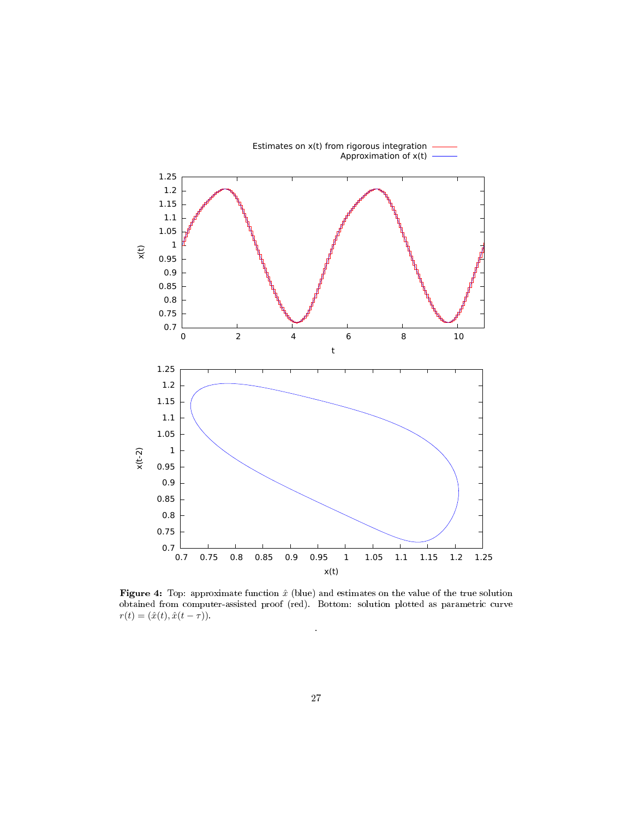

Figure 4: Top: approximate function  $\hat{x}$  (blue) and estimates on the value of the true solution obtained from computer-assisted proof (red). Bottom: solution plotted as parametric curve  $r(t) = (\hat{x}(t), \hat{x}(t-\tau)).$ 

.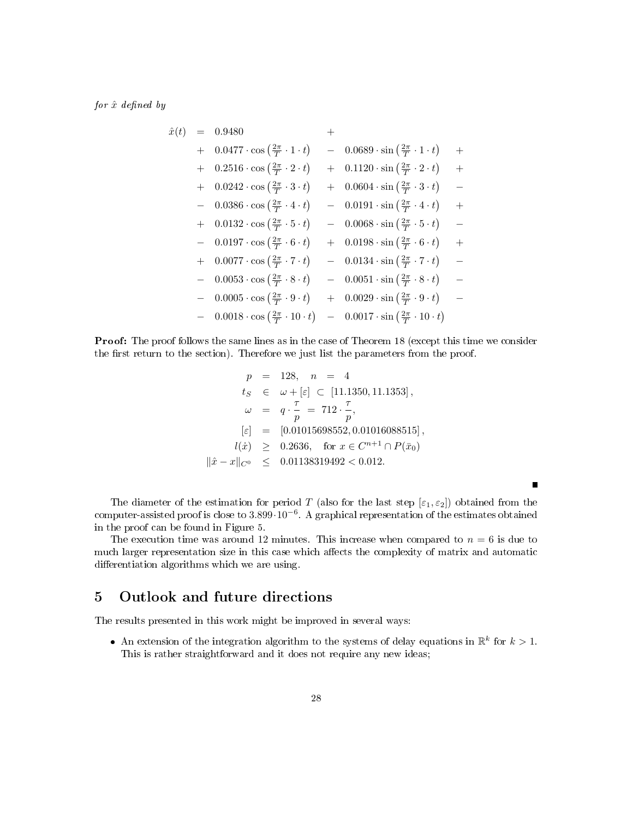for  $\hat{x}$  defined by

$$
\hat{x}(t) = 0.9480 + 0.0477 \cdot \cos\left(\frac{2\pi}{T} \cdot 1 \cdot t\right) - 0.0689 \cdot \sin\left(\frac{2\pi}{T} \cdot 1 \cdot t\right) + 0.2516 \cdot \cos\left(\frac{2\pi}{T} \cdot 2 \cdot t\right) + 0.1120 \cdot \sin\left(\frac{2\pi}{T} \cdot 2 \cdot t\right) + 0.0242 \cdot \cos\left(\frac{2\pi}{T} \cdot 3 \cdot t\right) + 0.0604 \cdot \sin\left(\frac{2\pi}{T} \cdot 3 \cdot t\right) - 0.0386 \cdot \cos\left(\frac{2\pi}{T} \cdot 4 \cdot t\right) - 0.0191 \cdot \sin\left(\frac{2\pi}{T} \cdot 4 \cdot t\right) + 0.0132 \cdot \cos\left(\frac{2\pi}{T} \cdot 5 \cdot t\right) - 0.0068 \cdot \sin\left(\frac{2\pi}{T} \cdot 5 \cdot t\right) - 0.0197 \cdot \cos\left(\frac{2\pi}{T} \cdot 6 \cdot t\right) + 0.0198 \cdot \sin\left(\frac{2\pi}{T} \cdot 6 \cdot t\right) + 0.0077 \cdot \cos\left(\frac{2\pi}{T} \cdot 7 \cdot t\right) - 0.0134 \cdot \sin\left(\frac{2\pi}{T} \cdot 7 \cdot t\right) - 0.0053 \cdot \cos\left(\frac{2\pi}{T} \cdot 8 \cdot t\right) - 0.0051 \cdot \sin\left(\frac{2\pi}{T} \cdot 8 \cdot t\right) - 0.0005 \cdot \cos\left(\frac{2\pi}{T} \cdot 9 \cdot t\right) + 0.0029 \cdot \sin\left(\frac{2\pi}{T} \cdot 9 \cdot t\right) - 0.0018 \cdot \cos\left(\frac{2\pi}{T} \cdot 10 \cdot t\right) - 0.0017 \cdot \sin\left(\frac{2\pi}{T} \cdot 10 \cdot t\right)
$$

Proof: The proof follows the same lines as in the case of Theorem 18 (except this time we consider the first return to the section). Therefore we just list the parameters from the proof.

$$
p = 128, \quad n = 4
$$
  
\n
$$
t_S \in \omega + [\varepsilon] \subset [11.1350, 11.1353],
$$
  
\n
$$
\omega = q \cdot \frac{\tau}{p} = 712 \cdot \frac{\tau}{p},
$$
  
\n
$$
[\varepsilon] = [0.01015698552, 0.01016088515],
$$
  
\n
$$
l(\dot{x}) \ge 0.2636, \quad \text{for } x \in C^{n+1} \cap P(\bar{x}_0)
$$
  
\n
$$
\|\hat{x} - x\|_{C^0} \le 0.01138319492 < 0.012.
$$

The diameter of the estimation for period T (also for the last step  $[\varepsilon_1, \varepsilon_2]$ ) obtained from the computer-assisted proof is close to 3.899·10<sup>−</sup><sup>6</sup> . A graphical representation of the estimates obtained in the proof can be found in Figure 5.

 $\blacksquare$ 

The execution time was around 12 minutes. This increase when compared to  $n = 6$  is due to much larger representation size in this case which affects the complexity of matrix and automatic differentiation algorithms which we are using.

# 5 Outlook and future directions

The results presented in this work might be improved in several ways:

• An extension of the integration algorithm to the systems of delay equations in  $\mathbb{R}^k$  for  $k > 1$ . This is rather straightforward and it does not require any new ideas;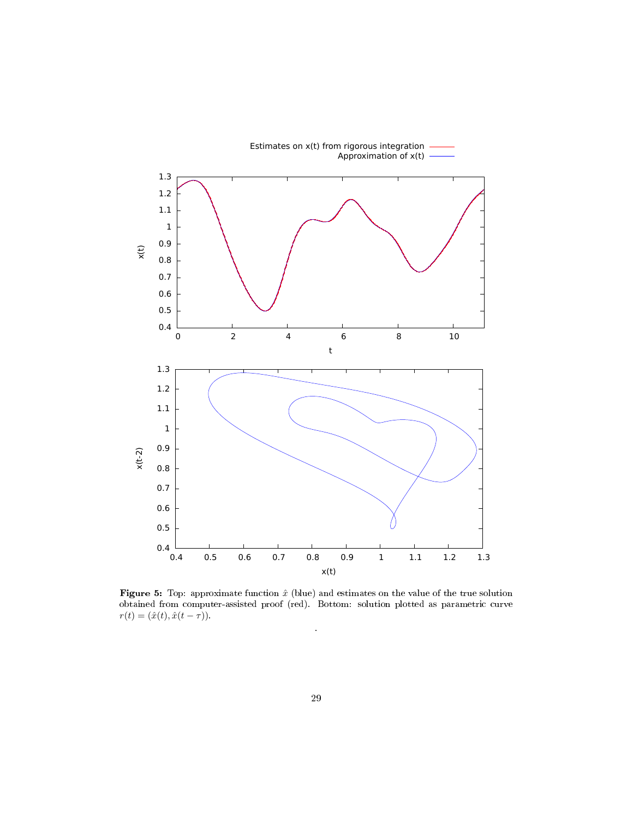

Figure 5: Top: approximate function  $\hat{x}$  (blue) and estimates on the value of the true solution obtained from computer-assisted proof (red). Bottom: solution plotted as parametric curve  $r(t) = (\hat{x}(t), \hat{x}(t-\tau)).$ 

.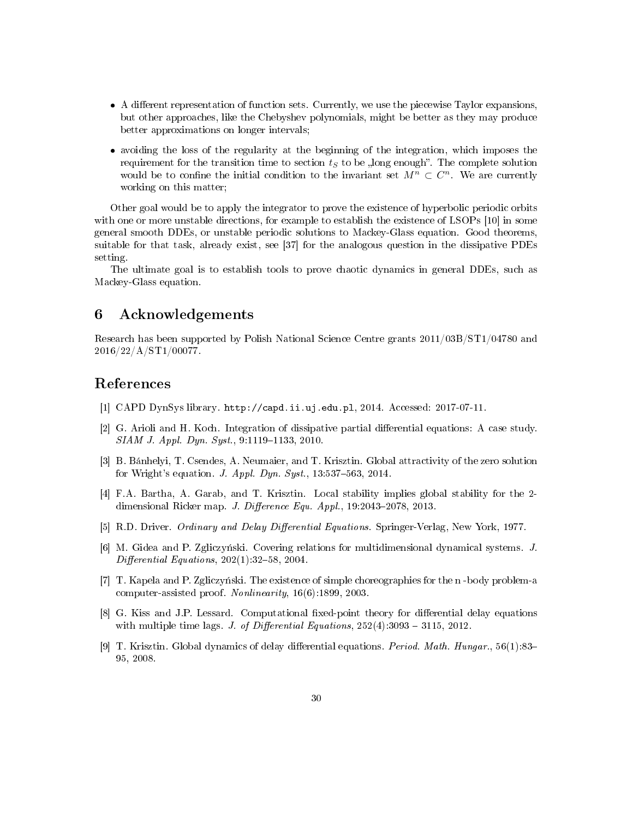- A different representation of function sets. Currently, we use the piecewise Taylor expansions, but other approaches, like the Chebyshev polynomials, might be better as they may produce better approximations on longer intervals;
- avoiding the loss of the regularity at the beginning of the integration, which imposes the requirement for the transition time to section  $t<sub>S</sub>$  to be  $\sqrt{2}$ , long enough. The complete solution would be to confine the initial condition to the invariant set  $M^n \subset C^n$ . We are currently working on this matter;

Other goal would be to apply the integrator to prove the existence of hyperbolic periodic orbits with one or more unstable directions, for example to establish the existence of LSOPs [10] in some general smooth DDEs, or unstable periodic solutions to Mackey-Glass equation. Good theorems, suitable for that task, already exist, see [37] for the analogous question in the dissipative PDEs setting.

The ultimate goal is to establish tools to prove chaotic dynamics in general DDEs, such as Mackey-Glass equation.

# 6 Acknowledgements

Research has been supported by Polish National Science Centre grants 2011/03B/ST1/04780 and 2016/22/A/ST1/00077.

# References

- [1] CAPD DynSys library. http://capd.ii.uj.edu.pl, 2014. Accessed: 2017-07-11.
- [2] G. Arioli and H. Koch. Integration of dissipative partial differential equations: A case study. SIAM J. Appl. Dyn. Syst., 9:1119-1133, 2010.
- [3] B. Bánhelyi, T. Csendes, A. Neumaier, and T. Krisztin. Global attractivity of the zero solution for Wright's equation. J. Appl. Dyn. Syst.,  $13:537-563$ ,  $2014$ .
- [4] F.A. Bartha, A. Garab, and T. Krisztin. Local stability implies global stability for the 2 dimensional Ricker map. J. Difference Equ.  $Appl.$ , 19:2043-2078, 2013.
- [5] R.D. Driver. *Ordinary and Delay Differential Equations*. Springer-Verlag, New York, 1977.
- [6] M. Gidea and P. Zgliczyński. Covering relations for multidimensional dynamical systems.  $J$ .  $Differential$  Equations,  $202(1):32-58$ ,  $2004$ .
- [7]  $T.$  Kapela and P. Zgliczynski. The existence of simple choreographies for the n-body problem-a computer-assisted proof. Nonlinearity, 16(6):1899, 2003.
- [8] G. Kiss and J.P. Lessard. Computational fixed-point theory for differential delay equations with multiple time lags. J. of Differential Equations,  $252(4):3093 - 3115$ , 2012.
- [9] T. Krisztin. Global dynamics of delay differential equations. *Period. Math. Hungar.*,  $56(1):83-$ 95, 2008.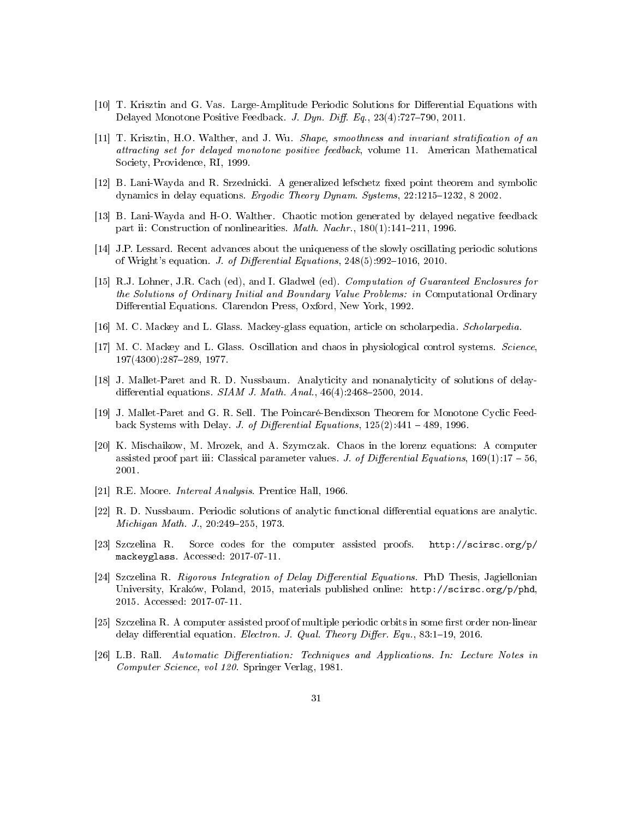- [10] T. Krisztin and G. Vas. Large-Amplitude Periodic Solutions for Differential Equations with Delayed Monotone Positive Feedback. J. Dyn. Diff. Eq.,  $23(4)$ :727-790, 2011.
- [11] T. Krisztin, H.O. Walther, and J. Wu. Shape, smoothness and invariant stratification of an attracting set for delayed monotone positive feedback, volume 11. American Mathematical Society, Providence, RI, 1999.
- $[12]$  B. Lani-Wayda and R. Srzednicki. A generalized lefschetz fixed point theorem and symbolic dynamics in delay equations. Ergodic Theory Dynam. Systems,  $22:1215-1232$ , 8 2002.
- [13] B. Lani-Wayda and H-O. Walther. Chaotic motion generated by delayed negative feedback part ii: Construction of nonlinearities. *Math. Nachr.*,  $180(1):141-211$ , 1996.
- [14] J.P. Lessard. Recent advances about the uniqueness of the slowly oscillating periodic solutions of Wright's equation. J. of Differential Equations,  $248(5):992-1016$ , 2010.
- [15] R.J. Lohner, J.R. Cach (ed), and I. Gladwel (ed). Computation of Guaranteed Enclosures for the Solutions of Ordinary Initial and Boundary Value Problems: in Computational Ordinary Differential Equations. Clarendon Press, Oxford, New York, 1992.
- [16] M. C. Mackey and L. Glass. Mackey-glass equation, article on scholarpedia. Scholarpedia.
- [17] M. C. Mackey and L. Glass. Oscillation and chaos in physiological control systems. Science, 197(4300):287289, 1977.
- [18] J. Mallet-Paret and R. D. Nussbaum. Analyticity and nonanalyticity of solutions of delaydifferential equations. SIAM J. Math. Anal.,  $46(4):2468-2500$ , 2014.
- [19] J. Mallet-Paret and G. R. Sell. The Poincaré-Bendixson Theorem for Monotone Cyclic Feedback Systems with Delay. J. of Differential Equations,  $125(2)$ : 441 – 489, 1996.
- [20] K. Mischaikow, M. Mrozek, and A. Szymczak. Chaos in the lorenz equations: A computer assisted proof part iii: Classical parameter values. J. of Differential Equations,  $169(1)$ :17 – 56, 2001.
- [21] R.E. Moore. Interval Analysis. Prentice Hall, 1966.
- [22] R. D. Nussbaum. Periodic solutions of analytic functional differential equations are analytic. Michigan Math. J., 20:249-255, 1973.
- [23] Szczelina R. Sorce codes for the computer assisted proofs. http://scirsc.org/p/ mackeyglass. Accessed: 2017-07-11.
- [24] Szczelina R. Rigorous Integration of Delay Differential Equations. PhD Thesis, Jagiellonian University, Kraków, Poland, 2015, materials published online: http://scirsc.org/p/phd, 2015. Accessed: 2017-07-11.
- $[25]$  Szczelina R. A computer assisted proof of multiple periodic orbits in some first order non-linear delay differential equation. Electron. J. Qual. Theory Differ. Equ.,  $83:1-19$ , 2016.
- [26] L.B. Rall. Automatic Differentiation: Techniques and Applications. In: Lecture Notes in Computer Science, vol 120. Springer Verlag, 1981.